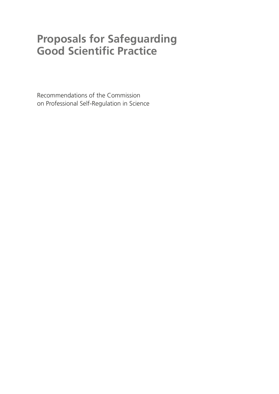# **Proposals for Safeguarding Good Scientific Practice**

Recommendations of the Commission on Professional Self-Regulation in Science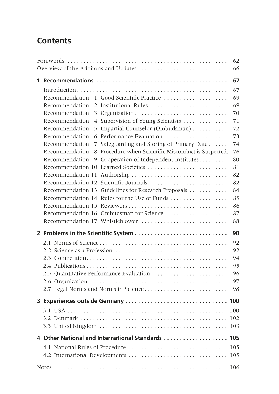# **Contents**

|   |                                                                         | 62<br>66 |
|---|-------------------------------------------------------------------------|----------|
| 1 |                                                                         | 67       |
|   |                                                                         | 67       |
|   | Recommendation 1: Good Scientific Practice                              | 69       |
|   | Recommendation                                                          | 69       |
|   | Recommendation                                                          | 70       |
|   | Recommendation<br>4: Supervision of Young Scientists                    | 71       |
|   | 5: Impartial Counselor (Ombudsman)<br>Recommendation                    | 72       |
|   | Recommendation                                                          | 73       |
|   | 7: Safeguarding and Storing of Primary Data<br>Recommendation           | 74       |
|   | 8: Procedure when Scientific Misconduct is Suspected.<br>Recommendation | 76       |
|   | 9: Cooperation of Independent Institutes<br>Recommendation              | 80       |
|   | Recommendation 10: Learned Societies                                    | 81       |
|   |                                                                         | 82       |
|   | Recommendation 12: Scientific Journals                                  | 82       |
|   | Recommendation 13: Guidelines for Research Proposals                    | 84       |
|   | Recommendation 14: Rules for the Use of Funds                           | 85       |
|   |                                                                         | 86       |
|   | Recommendation 16: Ombudsman for Science                                | 87       |
|   | Recommendation 17: Whistleblower                                        | 88       |
|   | 2 Problems in the Scientific System                                     | 90       |
|   |                                                                         | 92       |
|   |                                                                         | 92       |
|   |                                                                         | 94       |
|   |                                                                         | 95       |
|   |                                                                         | 96       |
|   |                                                                         | 97       |
|   |                                                                         | 98       |
|   |                                                                         |          |
|   |                                                                         |          |
|   |                                                                         |          |
|   |                                                                         |          |
|   | 4 Other National and International Standards  105                       |          |
|   |                                                                         |          |
|   |                                                                         | 105      |
|   | <b>Notes</b>                                                            |          |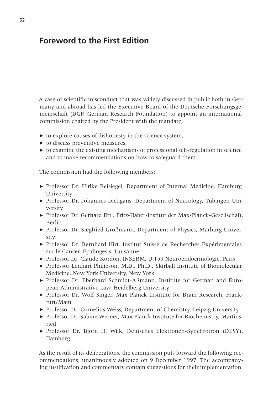### **Foreword to the First Edition**

A case of scientific misconduct that was widely discussed in public both in Germany and abroad has led the Executive Board of the Deutsche Forschungsgemeinschaft (DGF, German Research Foundation) to appoint an international commission chaired by the President with the mandate,

- $\triangleright$  to explore causes of dishonesty in the science system,
- $\blacktriangleright$  to discuss preventive measures,
- $\triangleright$  to examine the existing mechanisms of professional self-regulation in science and to make recommendations on how to safeguard them.

The commission had the following members:

- ► Professor Dr. Ulrike Beisiegel, Department of Internal Medicine, Hamburg University
- ► Professor Dr. Johannes Dichgans, Department of Neurology, Tübingen University
- ► Professor Dr. Gerhard Ertl, Fritz-Haber-Institut der Max-Planck-Gesellschaft, Berlin
- ► Professor Dr. Siegfried Großmann, Department of Physics, Marburg University
- ► Professor Dr. Bernhard Hirt, Institut Suisse de Recherches Expérimentales sur le Cancer, Epalinges s. Lausanne
- ▶ Professor Dr. Claude Kordon, INSERM, U.159 Neuroendocrinologie, Paris
- ► Professor Lennart Philipson, M.D., Ph.D., Skirball Institute of Biomolecular Medicine, New York University, New York
- ► Professor Dr. Eberhard Schmidt-Aßmann, Institute for German and European Administrative Law, Heidelberg University
- ► Professor Dr. Wolf Singer, Max Planck Institute for Brain Research, Frankfurt/Main
- ► Professor Dr. Cornelius Weiss, Department of Chemistry, Leipzig University
- ► Professor Dr. Sabine Werner, Max Planck Institute for Biochemistry, Martinsried
- ► Professor Dr. Björn H. Wiik, Deutsches Elektronen-Synchrotron (DESY), Hamburg

As the result of its deliberations, the commission puts forward the following recommendations, unanimously adopted on 9 December 1997. The accompanying justification and commentary contain suggestions for their implementation.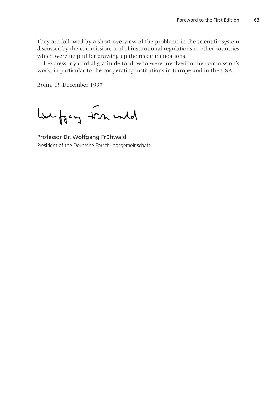They are followed by a short overview of the problems in the scientific system discussed by the commission, and of institutional regulations in other countries which were helpful for drawing up the recommendations.

I express my cordial gratitude to all who were involved in the commission's work, in particular to the cooperating institutions in Europe and in the USA.

Bonn, 19 December 1997

love foary tron under

Professor Dr. Wolfgang Frühwald President of the Deutsche Forschungsgemeinschaft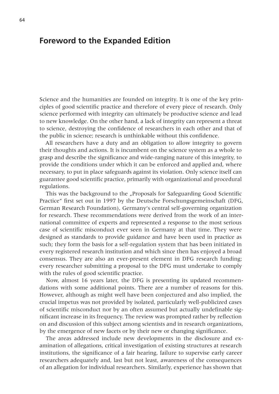### **Foreword to the Expanded Edition**

Science and the humanities are founded on integrity. It is one of the key principles of good scientific practice and therefore of every piece of research. Only science performed with integrity can ultimately be productive science and lead to new knowledge. On the other hand, a lack of integrity can represent a threat to science, destroying the confidence of researchers in each other and that of the public in science; research is unthinkable without this confidence.

All researchers have a duty and an obligation to allow integrity to govern their thoughts and actions. It is incumbent on the science system as a whole to grasp and describe the significance and wide-ranging nature of this integrity, to provide the conditions under which it can be enforced and applied and, where necessary, to put in place safeguards against its violation. Only science itself can guarantee good scientific practice, primarily with organizational and procedural regulations.

This was the background to the "Proposals for Safeguarding Good Scientific Practice" first set out in 1997 by the Deutsche Forschungsgemeinschaft (DFG, German Research Foundation), Germany's central self-governing organization for research. These recommendations were derived from the work of an international committee of experts and represented a response to the most serious case of scientific misconduct ever seen in Germany at that time. They were designed as standards to provide guidance and have been used in practice as such; they form the basis for a self-regulation system that has been initiated in every registered research institution and which since then has enjoyed a broad consensus. They are also an ever-present element in DFG research funding; every researcher submitting a proposal to the DFG must undertake to comply with the rules of good scientific practice.

Now, almost 16 years later, the DFG is presenting its updated recommendations with some additional points. There are a number of reasons for this. However, although as might well have been conjectured and also implied, the crucial impetus was not provided by isolated, particularly well-publicized cases of scientific misconduct nor by an often assumed but actually undefinable significant increase in its frequency. The review was prompted rather by reflection on and discussion of this subject among scientists and in research organizations, by the emergence of new facets or by their new or changing significance.

The areas addressed include new developments in the disclosure and examination of allegations, critical investigation of existing structures at research institutions, the significance of a fair hearing, failure to supervise early career researchers adequately and, last but not least, awareness of the consequences of an allegation for individual researchers. Similarly, experience has shown that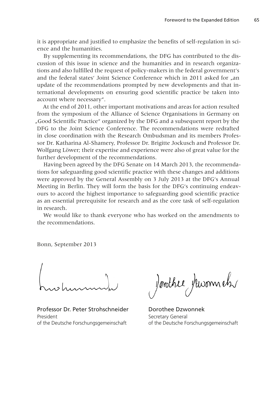it is appropriate and justified to emphasize the benefits of self-regulation in science and the humanities.

By supplementing its recommendations, the DFG has contributed to the discussion of this issue in science and the humanities and in research organizations and also fulfilled the request of policy-makers in the federal government's and the federal states' Joint Science Conference which in 2011 asked for "an update of the recommendations prompted by new developments and that international developments on ensuring good scientific practice be taken into account where necessary".

At the end of 2011, other important motivations and areas for action resulted from the symposium of the Alliance of Science Organisations in Germany on "Good Scientific Practice" organized by the DFG and a subsequent report by the DFG to the Joint Science Conference. The recommendations were redrafted in close coordination with the Research Ombudsman and its members Professor Dr. Katharina Al-Shamery, Professor Dr. Brigitte Jockusch and Professor Dr. Wolfgang Löwer; their expertise and experience were also of great value for the further development of the recommendations.

Having been agreed by the DFG Senate on 14 March 2013, the recommendations for safeguarding good scientific practice with these changes and additions were approved by the General Assembly on 3 July 2013 at the DFG's Annual Meeting in Berlin. They will form the basis for the DFG's continuing endeavours to accord the highest importance to safeguarding good scientific practice as an essential prerequisite for research and as the core task of self-regulation in research.

We would like to thank everyone who has worked on the amendments to the recommendations.

Bonn, September 2013

Professor Dr. Peter Strohschneider Dorothee Dzwonnek President **Secretary General** of the Deutsche Forschungsgemeinschaft of the Deutsche Forschungsgemeinschaft

Jondhee Huson et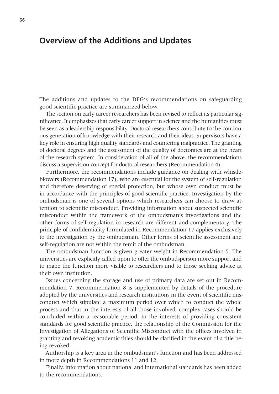### **Overview of the Additions and Updates**

The additions and updates to the DFG's recommendations on safeguarding good scientific practice are summarized below.

The section on early career researchers has been revised to reflect its particular significance. It emphasizes that early career support in science and the humanities must be seen as a leadership responsibility. Doctoral researchers contribute to the continuous generation of knowledge with their research and their ideas. Supervisors have a key role in ensuring high quality standards and countering malpractice. The granting of doctoral degrees and the assessment of the quality of doctorates are at the heart of the research system. In consideration of all of the above, the recommendations discuss a supervision concept for doctoral researchers (Recommendation 4).

Furthermore, the recommendations include guidance on dealing with whistleblowers (Recommendation 17), who are essential for the system of self-regulation and therefore deserving of special protection, but whose own conduct must be in accordance with the principles of good scientific practice. Investigation by the ombudsman is one of several options which researchers can choose to draw attention to scientific misconduct. Providing information about suspected scientific misconduct within the framework of the ombudsman's investigations and the other forms of self-regulation in research are different and complementary. The principle of confidentiality formulated in Recommendation 17 applies exclusively to the investigation by the ombudsman. Other forms of scientific assessment and self-regulation are not within the remit of the ombudsman.

The ombudsman function is given greater weight in Recommendation 5. The universities are explicitly called upon to offer the ombudsperson more support and to make the function more visible to researchers and to those seeking advice at their own institution.

Issues concerning the storage and use of primary data are set out in Recommendation 7. Recommendation 8 is supplemented by details of the procedure adopted by the universities and research institutions in the event of scientific misconduct which stipulate a maximum period over which to conduct the whole process and that in the interests of all those involved, complex cases should be concluded within a reasonable period. In the interests of providing consistent standards for good scientific practice, the relationship of the Commission for the Investigation of Allegations of Scientific Misconduct with the offices involved in granting and revoking academic titles should be clarified in the event of a title being revoked.

Authorship is a key area in the ombudsman's function and has been addressed in more depth in Recommendations 11 and 12.

Finally, information about national and international standards has been added to the recommendations.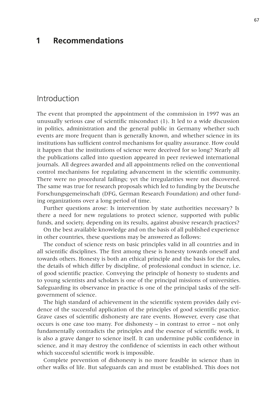### **1 Recommendations**

### Introduction

The event that prompted the appointment of the commission in 1997 was an unusually serious case of scientific misconduct (1). It led to a wide discussion in politics, administration and the general public in Germany whether such events are more frequent than is generally known, and whether science in its institutions has sufficient control mechanisms for quality assurance. How could it happen that the institutions of science were deceived for so long? Nearly all the publications called into question appeared in peer reviewed international journals. All degrees awarded and all appointments relied on the conventional control mechanisms for regulating advancement in the scientific community. There were no procedural failings; yet the irregularities were not discovered. The same was true for research proposals which led to funding by the Deutsche Forschungsgemeinschaft (DFG, German Research Foundation) and other funding organizations over a long period of time.

Further questions arose: Is intervention by state authorities necessary? Is there a need for new regulations to protect science, supported with public funds, and society, depending on its results, against abusive research practices?

On the best available knowledge and on the basis of all published experience in other countries, these questions may be answered as follows:

The conduct of science rests on basic principles valid in all countries and in all scientific disciplines. The first among these is honesty towards oneself and towards others. Honesty is both an ethical principle and the basis for the rules, the details of which differ by discipline, of professional conduct in science, i.e. of good scientific practice. Conveying the principle of honesty to students and to young scientists and scholars is one of the principal missions of universities. Safeguarding its observance in practice is one of the principal tasks of the selfgovernment of science.

The high standard of achievement in the scientific system provides daily evidence of the successful application of the principles of good scientific practice. Grave cases of scientific dishonesty are rare events. However, every case that occurs is one case too many. For dishonesty – in contrast to error – not only fundamentally contradicts the principles and the essence of scientific work, it is also a grave danger to science itself. It can undermine public confidence in science, and it may destroy the confidence of scientists in each other without which successful scientific work is impossible.

Complete prevention of dishonesty is no more feasible in science than in other walks of life. But safeguards can and must be established. This does not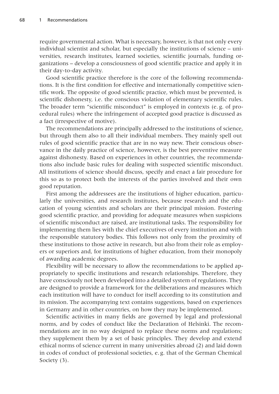require governmental action. What is necessary, however, is that not only every individual scientist and scholar, but especially the institutions of science – universities, research institutes, learned societies, scientific journals, funding organizations – develop a consciousness of good scientific practice and apply it in their day-to-day activity.

Good scientific practice therefore is the core of the following recommendations. It is the first condition for effective and internationally competitive scientific work. The opposite of good scientific practice, which must be prevented, is scientific dishonesty, i.e. the conscious violation of elementary scientific rules. The broader term "scientific misconduct" is employed in contexts (e.g. of procedural rules) where the infringement of accepted good practice is discussed as a fact (irrespective of motive).

The recommendations are principally addressed to the institutions of science, but through them also to all their individual members. They mainly spell out rules of good scientific practice that are in no way new. Their conscious observance in the daily practice of science, however, is the best preventive measure against dishonesty. Based on experiences in other countries, the recommendations also include basic rules for dealing with suspected scientific misconduct. All institutions of science should discuss, specify and enact a fair procedure for this so as to protect both the interests of the parties involved and their own good reputation.

First among the addressees are the institutions of higher education, particularly the universities, and research institutes, because research and the education of young scientists and scholars are their principal mission. Fostering good scientific practice, and providing for adequate measures when suspicions of scientific misconduct are raised, are institutional tasks. The responsibility for implementing them lies with the chief executives of every institution and with the responsible statutory bodies. This follows not only from the proximity of these institutions to those active in research, but also from their role as employers or superiors and, for institutions of higher education, from their monopoly of awarding academic degrees.

Flexibility will be necessary to allow the recommendations to be applied appropriately to specific institutions and research relationships. Therefore, they have consciously not been developed into a detailed system of regulations. They are designed to provide a framework for the deliberations and measures which each institution will have to conduct for itself according to its constitution and its mission. The accompanying text contains suggestions, based on experiences in Germany and in other countries, on how they may be implemented.

Scientific activities in many fields are governed by legal and professional norms, and by codes of conduct like the Declaration of Helsinki. The recommendations are in no way designed to replace these norms and regulations; they supplement them by a set of basic principles. They develop and extend ethical norms of science current in many universities abroad (2) and laid down in codes of conduct of professional societies, e.g. that of the German Chemical Society  $(3)$ .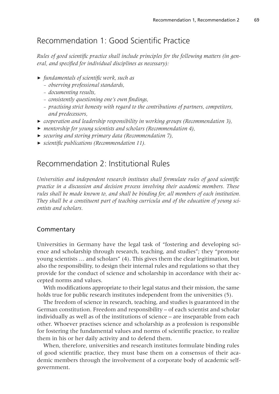# Recommendation 1: Good Scientific Practice

*Rules of good scientific practice shall include principles for the following matters (in general, and specified for individual disciplines as necessary):*

- ► *fundamentals of scientific work, such as*
	- *– observing professional standards,*
	- *– documenting results,*
	- *– consistently questioning one's own findings,*
	- *– practising strict honesty with regard to the contributions of partners, competitors, and predecessors,*
- ► *cooperation and leadership responsibility in working groups (Recommendation 3),*
- ► *mentorship for young scientists and scholars (Recommendation 4),*
- ► *securing and storing primary data (Recommendation 7),*
- ► *scientific publications (Recommendation 11).*

### Recommendation 2: Institutional Rules

*Universities and independent research institutes shall formulate rules of good scientific practice in a discussion and decision process involving their academic members. These rules shall be made known to, and shall be binding for, all members of each institution. They shall be a constituent part of teaching curricula and of the education of young scientists and scholars.*

#### **Commentary**

Universities in Germany have the legal task of "fostering and developing science and scholarship through research, teaching, and studies"; they "promote young scientists … and scholars" (4). This gives them the clear legitimation, but also the responsibility, to design their internal rules and regulations so that they provide for the conduct of science and scholarship in accordance with their accepted norms and values.

With modifications appropriate to their legal status and their mission, the same holds true for public research institutes independent from the universities (5).

The freedom of science in research, teaching, and studies is guaranteed in the German constitution. Freedom and responsibility – of each scientist and scholar individually as well as of the institutions of science – are inseparable from each other. Whoever practises science and scholarship as a profession is responsible for fostering the fundamental values and norms of scientific practice, to realize them in his or her daily activity and to defend them.

When, therefore, universities and research institutes formulate binding rules of good scientific practice, they must base them on a consensus of their academic members through the involvement of a corporate body of academic selfgovernment.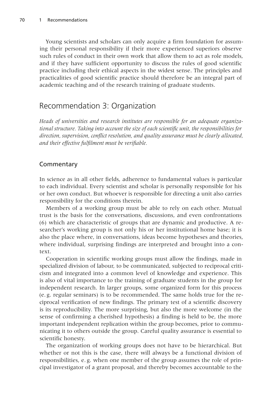Young scientists and scholars can only acquire a firm foundation for assuming their personal responsibility if their more experienced superiors observe such rules of conduct in their own work that allow them to act as role models, and if they have sufficient opportunity to discuss the rules of good scientific practice including their ethical aspects in the widest sense. The principles and practicalities of good scientific practice should therefore be an integral part of academic teaching and of the research training of graduate students.

### Recommendation 3: Organization

*Heads of universities and research institutes are responsible for an adequate organizational structure. Taking into account the size of each scientific unit, the responsibilities for direction, supervision, conflict resolution, and quality assurance must be clearly allocated, and their effective fulfilment must be verifiable.*

#### **Commentary**

In science as in all other fields, adherence to fundamental values is particular to each individual. Every scientist and scholar is personally responsible for his or her own conduct. But whoever is responsible for directing a unit also carries responsibility for the conditions therein.

Members of a working group must be able to rely on each other. Mutual trust is the basis for the conversations, discussions, and even confrontations (6) which are characteristic of groups that are dynamic and productive. A researcher's working group is not only his or her institutional home base; it is also the place where, in conversations, ideas become hypotheses and theories, where individual, surprising findings are interpreted and brought into a context.

Cooperation in scientific working groups must allow the findings, made in specialized division of labour, to be communicated, subjected to reciprocal criticism and integrated into a common level of knowledge and experience. This is also of vital importance to the training of graduate students in the group for independent research. In larger groups, some organized form for this process (e. g. regular seminars) is to be recommended. The same holds true for the reciprocal verification of new findings. The primary test of a scientific discovery is its reproducibility. The more surprising, but also the more welcome (in the sense of confirming a cherished hypothesis) a finding is held to be, the more important independent replication within the group becomes, prior to communicating it to others outside the group. Careful quality assurance is essential to scientific honesty.

The organization of working groups does not have to be hierarchical. But whether or not this is the case, there will always be a functional division of responsibilities, e. g. when one member of the group assumes the role of principal investigator of a grant proposal, and thereby becomes accountable to the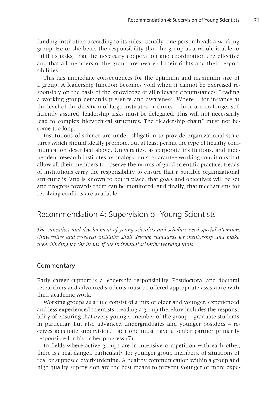funding institution according to its rules. Usually, one person heads a working group. He or she bears the responsibility that the group as a whole is able to fulfil its tasks, that the necessary cooperation and coordination are effective and that all members of the group are aware of their rights and their responsibilities.

This has immediate consequences for the optimum and maximum size of a group. A leadership function becomes void when it cannot be exercised responsibly on the basis of the knowledge of all relevant circumstances. Leading a working group demands presence and awareness. Where – for instance at the level of the direction of large institutes or clinics – these are no longer sufficiently assured, leadership tasks must be delegated. This will not necessarily lead to complex hierarchical structures. The "leadership chain" must not become too long.

Institutions of science are under obligation to provide organizational structures which should ideally promote, but at least permit the type of healthy communication described above. Universities, as corporate institutions, and independent research institutes by analogy, must guarantee working conditions that allow all their members to observe the norms of good scientific practice. Heads of institutions carry the responsibility to ensure that a suitable organizational structure is (and is known to be) in place, that goals and objectives will be set and progress towards them can be monitored, and finally, that mechanisms for resolving conflicts are available.

### Recommendation 4: Supervision of Young Scientists

*The education and development of young scientists and scholars need special attention. Universities and research institutes shall develop standards for mentorship and make them binding for the heads of the individual scientific working units.*

#### **Commentary**

Early career support is a leadership responsibility. Postdoctoral and doctoral researchers and advanced students must be offered appropriate assistance with their academic work.

Working groups as a rule consist of a mix of older and younger, experienced and less experienced scientists. Leading a group therefore includes the responsibility of ensuring that every younger member of the group – graduate students in particular, but also advanced undergraduates and younger postdocs – receives adequate supervision. Each one must have a senior partner primarily responsible for his or her progress (7).

In fields where active groups are in intensive competition with each other, there is a real danger, particularly for younger group members, of situations of real or supposed overburdening. A healthy communication within a group and high quality supervision are the best means to prevent younger or more expe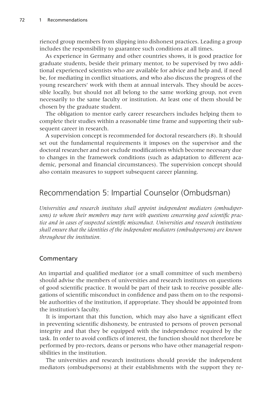rienced group members from slipping into dishonest practices. Leading a group includes the responsibility to guarantee such conditions at all times.

As experience in Germany and other countries shows, it is good practice for graduate students, beside their primary mentor, to be supervised by two additional experienced scientists who are available for advice and help and, if need be, for mediating in conflict situations, and who also discuss the progress of the young researchers' work with them at annual intervals. They should be accessible locally, but should not all belong to the same working group, not even necessarily to the same faculty or institution. At least one of them should be chosen by the graduate student.

The obligation to mentor early career researchers includes helping them to complete their studies within a reasonable time frame and supporting their subsequent career in research.

A supervision concept is recommended for doctoral researchers (8). It should set out the fundamental requirements it imposes on the supervisor and the doctoral researcher and not exclude modifications which become necessary due to changes in the framework conditions (such as adaptation to different academic, personal and financial circumstances). The supervision concept should also contain measures to support subsequent career planning.

### Recommendation 5: Impartial Counselor (Ombudsman)

*Universities and research institutes shall appoint independent mediators (ombudspersons) to whom their members may turn with questions concerning good scientific practice and in cases of suspected scientific misconduct. Universities and research institutions shall ensure that the identities of the independent mediators (ombudspersons) are known throughout the institution.*

#### **Commentary**

An impartial and qualified mediator (or a small committee of such members) should advise the members of universities and research institutes on questions of good scientific practice. It would be part of their task to receive possible allegations of scientific misconduct in confidence and pass them on to the responsible authorities of the institution, if appropriate. They should be appointed from the institution's faculty.

It is important that this function, which may also have a significant effect in preventing scientific dishonesty, be entrusted to persons of proven personal integrity and that they be equipped with the independence required by the task. In order to avoid conflicts of interest, the function should not therefore be performed by pro-rectors, deans or persons who have other managerial responsibilities in the institution.

The universities and research institutions should provide the independent mediators (ombudspersons) at their establishments with the support they re-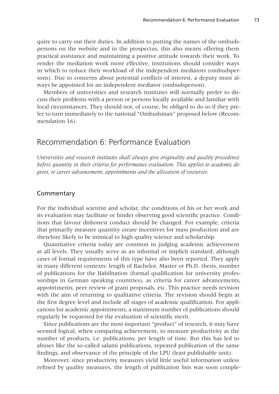quire to carry out their duties. In addition to putting the names of the ombudspersons on the website and in the prospectus, this also means offering them practical assistance and maintaining a positive attitude towards their work. To render the mediation work more effective, institutions should consider ways in which to reduce their workload of the independent mediators (ombudspersons). Due to concerns about potential conflicts of interest, a deputy must always be appointed for an independent mediator (ombudsperson).

Members of universities and research institutes will normally prefer to discuss their problems with a person or persons locally available and familiar with local circumstances. They should not, of course, be obliged to do so if they prefer to turn immediately to the national "Ombudsman" proposed below (Recommendation 16).

### Recommendation 6: Performance Evaluation

*Universities and research institutes shall always give originality and quality precedence before quantity in their criteria for performance evaluation. This applies to academic degrees, to career advancement, appointments and the allocation of resources.*

#### **Commentary**

For the individual scientist and scholar, the conditions of his or her work and its evaluation may facilitate or hinder observing good scientific practice. Conditions that favour dishonest conduct should be changed. For example, criteria that primarily measure quantity create incentives for mass production and are therefore likely to be inimical to high quality science and scholarship.

Quantitative criteria today are common in judging academic achievement at all levels. They usually serve as an informal or implicit standard, although cases of formal requirements of this type have also been reported. They apply in many different contexts: length of Bachelor, Master or Ph.D. thesis, number of publications for the Habilitation (formal qualification for university professorships in German speaking countries), as criteria for career advancements, appointments, peer review of grant proposals, etc. This practice needs revision with the aim of returning to qualitative criteria. The revision should begin at the first degree level and include all stages of academic qualification. For applications for academic appointments, a maximum number of publications should regularly be requested for the evaluation of scientific merit.

Since publications are the most important "product" of research, it may have seemed logical, when comparing achievement, to measure productivity as the number of products, i.e. publications, per length of time. But this has led to abuses like the so-called salami publications, repeated publication of the same findings, and observance of the principle of the LPU (least publishable unit).

Moreover, since productivity measures yield little useful information unless refined by quality measures, the length of publication lists was soon comple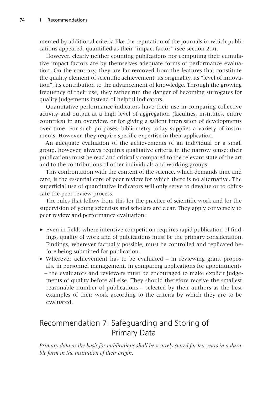mented by additional criteria like the reputation of the journals in which publications appeared, quantified as their "impact factor" (see section 2.5).

However, clearly neither counting publications nor computing their cumulative impact factors are by themselves adequate forms of performance evaluation. On the contrary, they are far removed from the features that constitute the quality element of scientific achievement: its originality, its "level of innovation", its contribution to the advancement of knowledge. Through the growing frequency of their use, they rather run the danger of becoming surrogates for quality judgements instead of helpful indicators.

Quantitative performance indicators have their use in comparing collective activity and output at a high level of aggregation (faculties, institutes, entire countries) in an overview, or for giving a salient impression of developments over time. For such purposes, bibliometry today supplies a variety of instruments. However, they require specific expertise in their application.

An adequate evaluation of the achievements of an individual or a small group, however, always requires qualitative criteria in the narrow sense: their publications must be read and critically compared to the relevant state of the art and to the contributions of other individuals and working groups.

This confrontation with the content of the science, which demands time and care, is the essential core of peer review for which there is no alternative. The superficial use of quantitative indicators will only serve to devalue or to obfuscate the peer review process.

The rules that follow from this for the practice of scientific work and for the supervision of young scientists and scholars are clear. They apply conversely to peer review and performance evaluation:

- $\blacktriangleright$  Even in fields where intensive competition requires rapid publication of findings, quality of work and of publications must be the primary consideration. Findings, wherever factually possible, must be controlled and replicated before being submitted for publication.
- $\blacktriangleright$  Wherever achievement has to be evaluated in reviewing grant proposals, in personnel management, in comparing applications for appointments – the evaluators and reviewers must be encouraged to make explicit judgements of quality before all else. They should therefore receive the smallest reasonable number of publications – selected by their authors as the best examples of their work according to the criteria by which they are to be evaluated.

# Recommendation 7: Safeguarding and Storing of Primary Data

*Primary data as the basis for publications shall be securely stored for ten years in a durable form in the institution of their origin.*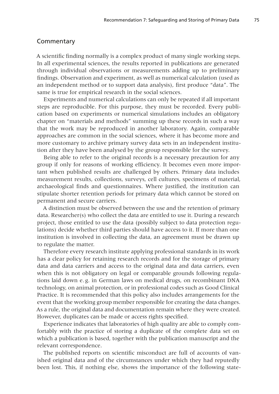#### **Commentary**

A scientific finding normally is a complex product of many single working steps. In all experimental sciences, the results reported in publications are generated through individual observations or measurements adding up to preliminary findings. Observation and experiment, as well as numerical calculation (used as an independent method or to support data analysis), first produce "data". The same is true for empirical research in the social sciences.

Experiments and numerical calculations can only be repeated if all important steps are reproducible. For this purpose, they must be recorded. Every publication based on experiments or numerical simulations includes an obligatory chapter on "materials and methods" summing up these records in such a way that the work may be reproduced in another laboratory. Again, comparable approaches are common in the social sciences, where it has become more and more customary to archive primary survey data sets in an independent institution after they have been analysed by the group responsible for the survey.

Being able to refer to the original records is a necessary precaution for any group if only for reasons of working efficiency. It becomes even more important when published results are challenged by others. Primary data includes measurement results, collections, surveys, cell cultures, specimens of material, archaeological finds and questionnaires. Where justified, the institution can stipulate shorter retention periods for primary data which cannot be stored on permanent and secure carriers.

A distinction must be observed between the use and the retention of primary data. Researcher(s) who collect the data are entitled to use it. During a research project, those entitled to use the data (possibly subject to data protection regulations) decide whether third parties should have access to it. If more than one institution is involved in collecting the data, an agreement must be drawn up to regulate the matter.

Therefore every research institute applying professional standards in its work has a clear policy for retaining research records and for the storage of primary data and data carriers and access to the original data and data carriers, even when this is not obligatory on legal or comparable grounds following regulations laid down e. g. in German laws on medical drugs, on recombinant DNA technology, on animal protection, or in professional codes such as Good Clinical Practice. It is recommended that this policy also includes arrangements for the event that the working group member responsible for creating the data changes. As a rule, the original data and documentation remain where they were created. However, duplicates can be made or access rights specified.

Experience indicates that laboratories of high quality are able to comply comfortably with the practice of storing a duplicate of the complete data set on which a publication is based, together with the publication manuscript and the relevant correspondence.

The published reports on scientific misconduct are full of accounts of vanished original data and of the circumstances under which they had reputedly been lost. This, if nothing else, shows the importance of the following state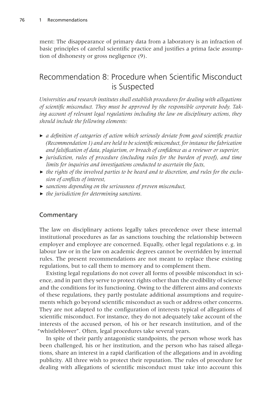ment: The disappearance of primary data from a laboratory is an infraction of basic principles of careful scientific practice and justifies a prima facie assumption of dishonesty or gross negligence (9).

# Recommendation 8: Procedure when Scientific Misconduct is Suspected

*Universities and research institutes shall establish procedures for dealing with allegations of scientific misconduct. They must be approved by the responsible corporate body. Taking account of relevant legal regulations including the law on disciplinary actions, they should include the following elements:*

- ► *a definition of categories of action which seriously deviate from good scientific practice (Recommendation 1) and are held to be scientific misconduct, for instance the fabrication and falsification of data, plagiarism, or breach of confidence as a reviewer or superior,*
- ► *jurisdiction, rules of procedure (including rules for the burden of proof), and time limits for inquiries and investigations conducted to ascertain the facts,*
- ► the rights of the involved parties to be heard and to discretion, and rules for the exclu*sion of conflicts of interest,*
- ► *sanctions depending on the seriousness of proven misconduct,*
- ► *the jurisdiction for determining sanctions.*

#### Commentary

The law on disciplinary actions legally takes precedence over these internal institutional procedures as far as sanctions touching the relationship between employer and employee are concerned. Equally, other legal regulations e.g. in labour law or in the law on academic degrees cannot be overridden by internal rules. The present recommendations are not meant to replace these existing regulations, but to call them to memory and to complement them.

Existing legal regulations do not cover all forms of possible misconduct in science, and in part they serve to protect rights other than the credibility of science and the conditions for its functioning. Owing to the different aims and contexts of these regulations, they partly postulate additional assumptions and requirements which go beyond scientific misconduct as such or address other concerns. They are not adapted to the configuration of interests typical of allegations of scientific misconduct. For instance, they do not adequately take account of the interests of the accused person, of his or her research institution, and of the "whistleblower". Often, legal procedures take several years.

In spite of their partly antagonistic standpoints, the person whose work has been challenged, his or her institution, and the person who has raised allegations, share an interest in a rapid clarification of the allegations and in avoiding publicity. All three wish to protect their reputation. The rules of procedure for dealing with allegations of scientific misconduct must take into account this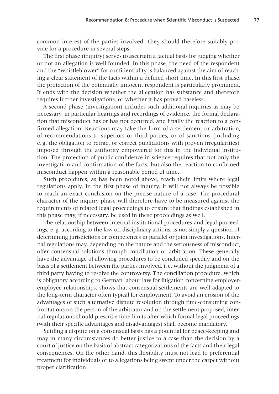common interest of the parties involved. They should therefore suitably provide for a procedure in several steps:

The first phase (inquiry) serves to ascertain a factual basis for judging whether or not an allegation is well founded. In this phase, the need of the respondent and the "whistleblower" for confidentiality is balanced against the aim of reaching a clear statement of the facts within a defined short time. In this first phase, the protection of the potentially innocent respondent is particularly prominent. It ends with the decision whether the allegation has substance and therefore requires further investigations, or whether it has proved baseless.

A second phase (investigation) includes such additional inquiries as may be necessary, in particular hearings and recordings of evidence, the formal declaration that misconduct has or has not occurred, and finally the reaction to a confirmed allegation. Reactions may take the form of a settlement or arbitration, of recommendations to superiors or third parties, or of sanctions (including e.g. the obligation to retract or correct publications with proven irregularities) imposed through the authority empowered for this in the individual institution. The protection of public confidence in science requires that not only the investigation and confirmation of the facts, but also the reaction to confirmed misconduct happen within a reasonable period of time.

Such procedures, as has been noted above, reach their limits where legal regulations apply. In the first phase of inquiry, it will not always be possible to reach an exact conclusion on the precise nature of a case. The procedural character of the inquiry phase will therefore have to be measured against the requirements of related legal proceedings to ensure that findings established in this phase may, if necessary, be used in these proceedings as well.

The relationship between internal institutional procedures and legal proceedings, e.g. according to the law on disciplinary actions, is not simply a question of determining jurisdictions or competences in parallel or joint investigations. Internal regulations may, depending on the nature and the seriousness of misconduct, offer consensual solutions through conciliation or arbitration. These generally have the advantage of allowing procedures to be concluded speedily and on the basis of a settlement between the parties involved, i.e. without the judgment of a third party having to resolve the controversy. The conciliation procedure, which is obligatory according to German labour law for litigation concerning employeremployee relationships, shows that consensual settlements are well adapted to the long-term character often typical for employment. To avoid an erosion of the advantages of such alternative dispute resolution through time-consuming confrontations on the person of the arbitrator and on the settlement proposed, internal regulations should prescribe time limits after which formal legal proceedings (with their specific advantages and disadvantages) shall become mandatory.

Settling a dispute on a consensual basis has a potential for peace-keeping and may in many circumstances do better justice to a case than the decision by a court of justice on the basis of abstract categorizations of the facts and their legal consequences. On the other hand, this flexibility must not lead to preferential treatment for individuals or to allegations being swept under the carpet without proper clarification.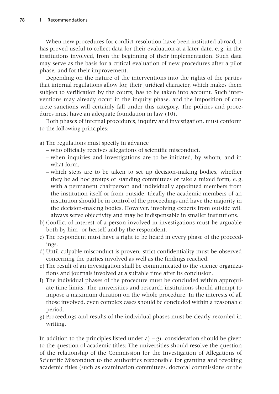When new procedures for conflict resolution have been instituted abroad, it has proved useful to collect data for their evaluation at a later date, e.g. in the institutions involved, from the beginning of their implementation. Such data may serve as the basis for a critical evaluation of new procedures after a pilot phase, and for their improvement.

Depending on the nature of the interventions into the rights of the parties that internal regulations allow for, their juridical character, which makes them subject to verification by the courts, has to be taken into account. Such interventions may already occur in the inquiry phase, and the imposition of concrete sanctions will certainly fall under this category. The policies and procedures must have an adequate foundation in law (10).

Both phases of internal procedures, inquiry and investigation, must conform to the following principles:

a) The regulations must specify in advance

- who officially receives allegations of scientific misconduct,
- when inquiries and investigations are to be initiated, by whom, and in what form,
- which steps are to be taken to set up decision-making bodies, whether they be ad hoc groups or standing committees or take a mixed form, e.g. with a permanent chairperson and individually appointed members from the institution itself or from outside. Ideally the academic members of an institution should be in control of the proceedings and have the majority in the decision-making bodies. However, involving experts from outside will always serve objectivity and may be indispensable in smaller institutions.
- b) Conflict of interest of a person involved in investigations must be arguable both by him- or herself and by the respondent.
- c) The respondent must have a right to be heard in every phase of the proceedings.
- d) Until culpable misconduct is proven, strict confidentiality must be observed concerning the parties involved as well as the findings reached.
- e) The result of an investigation shall be communicated to the science organizations and journals involved at a suitable time after its conclusion.
- f) The individual phases of the procedure must be concluded within appropriate time limits. The universities and research institutions should attempt to impose a maximum duration on the whole procedure. In the interests of all those involved, even complex cases should be concluded within a reasonable period.
- g) Proceedings and results of the individual phases must be clearly recorded in writing.

In addition to the principles listed under  $a$ ) – g), consideration should be given to the question of academic titles: The universities should resolve the question of the relationship of the Commission for the Investigation of Allegations of Scientific Misconduct to the authorities responsible for granting and revoking academic titles (such as examination committees, doctoral commissions or the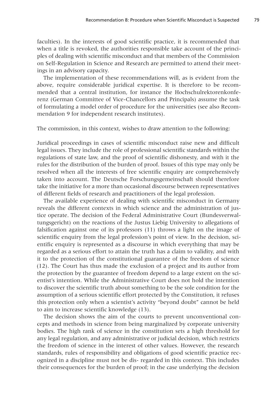faculties). In the interests of good scientific practice, it is recommended that when a title is revoked, the authorities responsible take account of the principles of dealing with scientific misconduct and that members of the Commission on Self-Regulation in Science and Research are permitted to attend their meetings in an advisory capacity.

The implementation of these recommendations will, as is evident from the above, require considerable juridical expertise. It is therefore to be recommended that a central institution, for instance the Hochschulrektorenkonferenz (German Committee of Vice-Chancellors and Principals) assume the task of formulating a model order of procedure for the universities (see also Recommendation 9 for independent research institutes).

The commission, in this context, wishes to draw attention to the following:

Juridical proceedings in cases of scientific misconduct raise new and difficult legal issues. They include the role of professional scientific standards within the regulations of state law, and the proof of scientific dishonesty, and with it the rules for the distribution of the burden of proof. Issues of this type may only be resolved when all the interests of free scientific enquiry are comprehensively taken into account. The Deutsche Forschungsgemeinschaft should therefore take the initiative for a more than occasional discourse between representatives of different fields of research and practitioners of the legal profession.

The available experience of dealing with scientific misconduct in Germany reveals the different contexts in which science and the administration of justice operate. The decision of the Federal Administrative Court (Bundesverwaltungsgericht) on the reactions of the Justus Liebig University to allegations of falsification against one of its professors (11) throws a light on the image of scientific enquiry from the legal profession's point of view. In the decision, scientific enquiry is represented as a discourse in which everything that may be regarded as a serious effort to attain the truth has a claim to validity, and with it to the protection of the constitutional guarantee of the freedom of science (12). The Court has thus made the exclusion of a project and its author from the protection by the guarantee of freedom depend to a large extent on the scientist's intention. While the Administrative Court does not hold the intention to discover the scientific truth about something to be the sole condition for the assumption of a serious scientific effort protected by the Constitution, it refuses this protection only when a scientist's activity "beyond doubt" cannot be held to aim to increase scientific knowledge (13).

The decision shows the aim of the courts to prevent unconventional concepts and methods in science from being marginalized by corporate university bodies. The high rank of science in the constitution sets a high threshold for any legal regulation, and any administrative or judicial decision, which restricts the freedom of science in the interest of other values. However, the research standards, rules of responsibility and obligations of good scientific practice recognized in a discipline must not be dis- regarded in this context. This includes their consequences for the burden of proof; in the case underlying the decision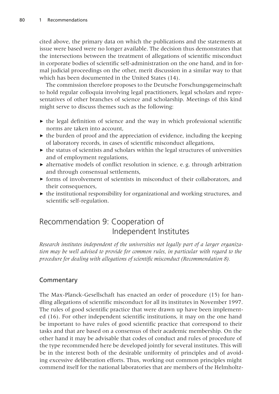cited above, the primary data on which the publications and the statements at issue were based were no longer available. The decision thus demonstrates that the intersections between the treatment of allegations of scientific misconduct in corporate bodies of scientific self-administration on the one hand, and in formal judicial proceedings on the other, merit discussion in a similar way to that which has been documented in the United States (14).

The commission therefore proposes to the Deutsche Forschungsgemeinschaft to hold regular colloquia involving legal practitioners, legal scholars and representatives of other branches of science and scholarship. Meetings of this kind might serve to discuss themes such as the following:

- $\triangleright$  the legal definition of science and the way in which professional scientific norms are taken into account,
- $\blacktriangleright$  the burden of proof and the appreciation of evidence, including the keeping of laboratory records, in cases of scientific misconduct allegations,
- $\triangleright$  the status of scientists and scholars within the legal structures of universities and of employment regulations,
- $\blacktriangleright$  alternative models of conflict resolution in science, e.g. through arbitration and through consensual settlements,
- $\triangleright$  forms of involvement of scientists in misconduct of their collaborators, and their consequences,
- $\triangleright$  the institutional responsibility for organizational and working structures, and scientific self-regulation.

# Recommendation 9: Cooperation of Independent Institutes

*Research institutes independent of the universities not legally part of a larger organization may be well advised to provide for common rules, in particular with regard to the procedure for dealing with allegations of scientific misconduct (Recommendation 8).*

### **Commentary**

The Max-Planck-Gesellschaft has enacted an order of procedure (15) for handling allegations of scientific misconduct for all its institutes in November 1997. The rules of good scientific practice that were drawn up have been implemented (16). For other independent scientific institutions, it may on the one hand be important to have rules of good scientific practice that correspond to their tasks and that are based on a consensus of their academic membership. On the other hand it may be advisable that codes of conduct and rules of procedure of the type recommended here be developed jointly for several institutes. This will be in the interest both of the desirable uniformity of principles and of avoiding excessive deliberation efforts. Thus, working out common principles might commend itself for the national laboratories that are members of the Helmholtz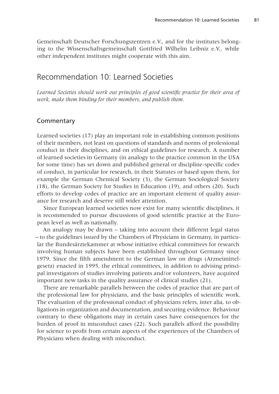Gemeinschaft Deutscher Forschungszentren e.V., and for the institutes belonging to the Wissenschaftsgemeinschaft Gottfried Wilhelm Leibniz e.V., while other independent institutes might cooperate with this aim.

### Recommendation 10: Learned Societies

*Learned Societies should work out principles of good scientific practice for their area of work, make them binding for their members, and publish them.*

#### **Commentary**

Learned societies (17) play an important role in establishing common positions of their members, not least on questions of standards and norms of professional conduct in their disciplines, and on ethical guidelines for research. A number of learned societies in Germany (in analogy to the practice common in the USA for some time) has set down and published general or discipline-specific codes of conduct, in particular for research, in their Statutes or based upon them, for example the German Chemical Society (3), the German Sociological Society (18), the German Society for Studies in Education (19), and others (20). Such efforts to develop codes of practice are an important element of quality assurance for research and deserve still wider attention.

Since European learned societies now exist for many scientific disciplines, it is recommended to pursue discussions of good scientific practice at the European level as well as nationally.

An analogy may be drawn – taking into account their different legal status – to the guidelines issued by the Chambers of Physicians in Germany, in particular the Bundesärztekammer at whose initiative ethical committees for research involving human subjects have been established throughout Germany since 1979. Since the fifth amendment to the German law on drugs (Arzneimittelgesetz) enacted in 1995, the ethical committees, in addition to advising principal investigators of studies involving patients and/or volunteers, have acquired important new tasks in the quality assurance of clinical studies (21).

There are remarkable parallels between the codes of practice that are part of the professional law for physicians, and the basic principles of scientific work. The evaluation of the professional conduct of physicians refers, inter alia, to obligations in organization and documentation, and securing evidence. Behaviour contrary to these obligations may in certain cases have consequences for the burden of proof in misconduct cases (22). Such parallels afford the possibility for science to profit from certain aspects of the experiences of the Chambers of Physicians when dealing with misconduct.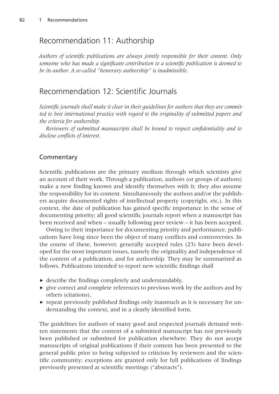# Recommendation 11: Authorship

*Authors of scientific publications are always jointly responsible for their content. Only someone who has made a significant contribution to a scientific publication is deemed to be its author. A so-called "honorary authorship" is inadmissible.*

### Recommendation 12: Scientific Journals

*Scientific journals shall make it clear in their guidelines for authors that they are committed to best international practice with regard to the originality of submitted papers and the criteria for authorship.*

*Reviewers of submitted manuscripts shall be bound to respect confidentiality and to disclose conflicts of interest.*

#### **Commentary**

Scientific publications are the primary medium through which scientists give an account of their work. Through a publication, authors (or groups of authors) make a new finding known and identify themselves with it; they also assume the responsibility for its content. Simultaneously the authors and/or the publishers acquire documented rights of intellectual property (copyright, etc.). In this context, the date of publication has gained specific importance in the sense of documenting priority; all good scientific journals report when a manuscript has been received and when – usually following peer review – it has been accepted.

Owing to their importance for documenting priority and performance, publications have long since been the object of many conflicts and controversies. In the course of these, however, generally accepted rules (23) have been developed for the most important issues, namely the originality and independence of the content of a publication, and for authorship. They may be summarized as follows. Publications intended to report new scientific findings shall

- $\blacktriangleright$  describe the findings completely and understandably,
- $\triangleright$  give correct and complete references to previous work by the authors and by others (citations),
- $\blacktriangleright$  repeat previously published findings only inasmuch as it is necessary for understanding the context, and in a clearly identified form.

The guidelines for authors of many good and respected journals demand written statements that the content of a submitted manuscript has not previously been published or submitted for publication elsewhere. They do not accept manuscripts of original publications if their content has been presented to the general public prior to being subjected to criticism by reviewers and the scientific community; exceptions are granted only for full publications of findings previously presented at scientific meetings ("abstracts").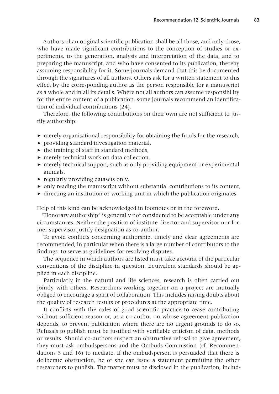Authors of an original scientific publication shall be all those, and only those, who have made significant contributions to the conception of studies or experiments, to the generation, analysis and interpretation of the data, and to preparing the manuscript, and who have consented to its publication, thereby assuming responsibility for it. Some journals demand that this be documented through the signatures of all authors. Others ask for a written statement to this effect by the corresponding author as the person responsible for a manuscript as a whole and in all its details. Where not all authors can assume responsibility for the entire content of a publication, some journals recommend an identification of individual contributions (24).

Therefore, the following contributions on their own are not sufficient to justify authorship:

- $\blacktriangleright$  merely organisational responsibility for obtaining the funds for the research,
- $\triangleright$  providing standard investigation material,
- $\blacktriangleright$  the training of staff in standard methods,
- $\blacktriangleright$  merely technical work on data collection,
- $\triangleright$  merely technical support, such as only providing equipment or experimental animals,
- $\blacktriangleright$  regularly providing datasets only,
- $\triangleright$  only reading the manuscript without substantial contributions to its content,
- $\triangleright$  directing an institution or working unit in which the publication originates.

Help of this kind can be acknowledged in footnotes or in the foreword.

"Honorary authorship" is generally not considered to be acceptable under any circumstances. Neither the position of institute director and supervisor nor former supervisor justify designation as co-author.

To avoid conflicts concerning authorship, timely and clear agreements are recommended, in particular when there is a large number of contributors to the findings, to serve as guidelines for resolving disputes.

The sequence in which authors are listed must take account of the particular conventions of the discipline in question. Equivalent standards should be applied in each discipline.

Particularly in the natural and life sciences, research is often carried out jointly with others. Researchers working together on a project are mutually obliged to encourage a spirit of collaboration. This includes raising doubts about the quality of research results or procedures at the appropriate time.

It conflicts with the rules of good scientific practice to cease contributing without sufficient reason or, as a co-author on whose agreement publication depends, to prevent publication where there are no urgent grounds to do so. Refusals to publish must be justified with verifiable criticism of data, methods or results. Should co-authors suspect an obstructive refusal to give agreement, they must ask ombudspersons and the Ombuds Commission (cf. Recommendations 5 and 16) to mediate. If the ombudsperson is persuaded that there is deliberate obstruction, he or she can issue a statement permitting the other researchers to publish. The matter must be disclosed in the publication, includ-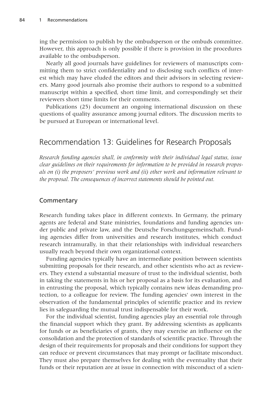ing the permission to publish by the ombudsperson or the ombuds committee. However, this approach is only possible if there is provision in the procedures available to the ombudsperson.

Nearly all good journals have guidelines for reviewers of manuscripts committing them to strict confidentiality and to disclosing such conflicts of interest which may have eluded the editors and their advisors in selecting reviewers. Many good journals also promise their authors to respond to a submitted manuscript within a specified, short time limit, and correspondingly set their reviewers short time limits for their comments.

Publications (25) document an ongoing international discussion on these questions of quality assurance among journal editors. The discussion merits to be pursued at European or international level.

### Recommendation 13: Guidelines for Research Proposals

*Research funding agencies shall, in conformity with their individual legal status, issue clear guidelines on their requirements for information to be provided in research proposals on (i) the proposers' previous work and (ii) other work and information relevant to the proposal. The consequences of incorrect statements should be pointed out.*

#### **Commentary**

Research funding takes place in different contexts. In Germany, the primary agents are federal and State ministries, foundations and funding agencies under public and private law, and the Deutsche Forschungsgemeinschaft. Funding agencies differ from universities and research institutes, which conduct research intramurally, in that their relationships with individual researchers usually reach beyond their own organizational context.

Funding agencies typically have an intermediate position between scientists submitting proposals for their research, and other scientists who act as reviewers. They extend a substantial measure of trust to the individual scientist, both in taking the statements in his or her proposal as a basis for its evaluation, and in entrusting the proposal, which typically contains new ideas demanding protection, to a colleague for review. The funding agencies' own interest in the observation of the fundamental principles of scientific practice and its review lies in safeguarding the mutual trust indispensable for their work.

For the individual scientist, funding agencies play an essential role through the financial support which they grant. By addressing scientists as applicants for funds or as beneficiaries of grants, they may exercise an influence on the consolidation and the protection of standards of scientific practice. Through the design of their requirements for proposals and their conditions for support they can reduce or prevent circumstances that may prompt or facilitate misconduct. They must also prepare themselves for dealing with the eventuality that their funds or their reputation are at issue in connection with misconduct of a scien-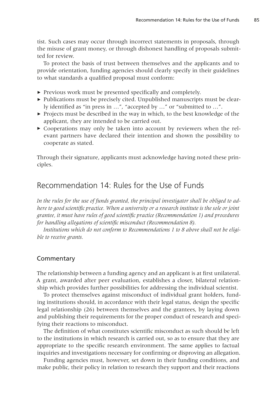tist. Such cases may occur through incorrect statements in proposals, through the misuse of grant money, or through dishonest handling of proposals submitted for review.

To protect the basis of trust between themselves and the applicants and to provide orientation, funding agencies should clearly specify in their guidelines to what standards a qualified proposal must conform:

- $\triangleright$  Previous work must be presented specifically and completely.
- $\blacktriangleright$  Publications must be precisely cited. Unpublished manuscripts must be clearly identified as "in press in …", "accepted by …" or "submitted to …".
- $\blacktriangleright$  Projects must be described in the way in which, to the best knowledge of the applicant, they are intended to be carried out.
- $\triangleright$  Cooperations may only be taken into account by reviewers when the relevant partners have declared their intention and shown the possibility to cooperate as stated.

Through their signature, applicants must acknowledge having noted these principles.

### Recommendation 14: Rules for the Use of Funds

*In the rules for the use of funds granted, the principal investigator shall be obliged to adhere to good scientific practice. When a university or a research institute is the sole or joint grantee, it must have rules of good scientific practice (Recommendation 1) and procedures for handling allegations of scientific misconduct (Recommendation 8).*

*Institutions which do not conform to Recommendations 1 to 8 above shall not be eligible to receive grants.*

#### **Commentary**

The relationship between a funding agency and an applicant is at first unilateral. A grant, awarded after peer evaluation, establishes a closer, bilateral relationship which provides further possibilities for addressing the individual scientist.

To protect themselves against misconduct of individual grant holders, funding institutions should, in accordance with their legal status, design the specific legal relationship (26) between themselves and the grantees, by laying down and publishing their requirements for the proper conduct of research and specifying their reactions to misconduct.

The definition of what constitutes scientific misconduct as such should be left to the institutions in which research is carried out, so as to ensure that they are appropriate to the specific research environment. The same applies to factual inquiries and investigations necessary for confirming or disproving an allegation.

Funding agencies must, however, set down in their funding conditions, and make public, their policy in relation to research they support and their reactions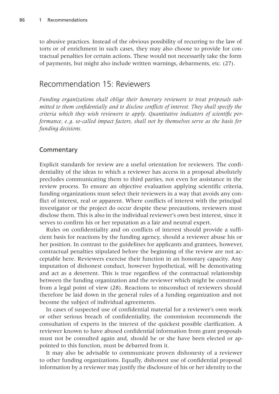to abusive practices. Instead of the obvious possibility of recurring to the law of torts or of enrichment in such cases, they may also choose to provide for contractual penalties for certain actions. These would not necessarily take the form of payments, but might also include written warnings, debarments, etc. (27).

### Recommendation 15: Reviewers

*Funding organizations shall oblige their honorary reviewers to treat proposals submitted to them confidentially and to disclose conflicts of interest. They shall specify the criteria which they wish reviewers to apply. Quantitative indicators of scientific performance, e. g. so-called impact factors, shall not by themselves serve as the basis for funding decisions.*

#### **Commentary**

Explicit standards for review are a useful orientation for reviewers. The confidentiality of the ideas to which a reviewer has access in a proposal absolutely precludes communicating them to third parties, not even for assistance in the review process. To ensure an objective evaluation applying scientific criteria, funding organizations must select their reviewers in a way that avoids any conflict of interest, real or apparent. Where conflicts of interest with the principal investigator or the project do occur despite these precautions, reviewers must disclose them. This is also in the individual reviewer's own best interest, since it serves to confirm his or her reputation as a fair and neutral expert.

Rules on confidentiality and on conflicts of interest should provide a sufficient basis for reactions by the funding agency, should a reviewer abuse his or her position. In contrast to the guidelines for applicants and grantees, however, contractual penalties stipulated before the beginning of the review are not acceptable here. Reviewers exercise their function in an honorary capacity. Any imputation of dishonest conduct, however hypothetical, will be demotivating and act as a deterrent. This is true regardless of the contractual relationship between the funding organization and the reviewer which might be construed from a legal point of view (28). Reactions to misconduct of reviewers should therefore be laid down in the general rules of a funding organization and not become the subject of individual agreements.

In cases of suspected use of confidential material for a reviewer's own work or other serious breach of confidentiality, the commission recommends the consultation of experts in the interest of the quickest possible clarification. A reviewer known to have abused confidential information from grant proposals must not be consulted again and, should he or she have been elected or appointed to this function, must be debarred from it.

It may also be advisable to communicate proven dishonesty of a reviewer to other funding organizations. Equally, dishonest use of confidential proposal information by a reviewer may justify the disclosure of his or her identity to the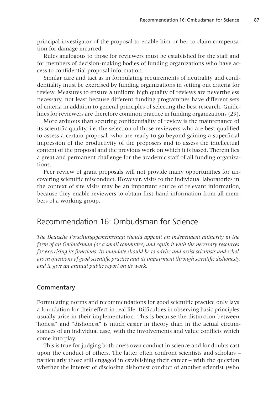principal investigator of the proposal to enable him or her to claim compensation for damage incurred.

Rules analogous to those for reviewers must be established for the staff and for members of decision-making bodies of funding organizations who have access to confidential proposal information.

Similar care and tact as in formulating requirements of neutrality and confidentiality must be exercised by funding organizations in setting out criteria for review. Measures to ensure a uniform high quality of reviews are nevertheless necessary, not least because different funding programmes have different sets of criteria in addition to general principles of selecting the best research. Guidelines for reviewers are therefore common practice in funding organizations (29).

More arduous than securing confidentiality of review is the maintenance of its scientific quality, i.e. the selection of those reviewers who are best qualified to assess a certain proposal, who are ready to go beyond gaining a superficial impression of the productivity of the proposers and to assess the intellectual content of the proposal and the previous work on which it is based. Therein lies a great and permanent challenge for the academic staff of all funding organizations.

Peer review of grant proposals will not provide many opportunities for uncovering scientific misconduct. However, visits to the individual laboratories in the context of site visits may be an important source of relevant information, because they enable reviewers to obtain first-hand information from all members of a working group.

### Recommendation 16: Ombudsman for Science

*The Deutsche Forschungsgemeinschaft should appoint an independent authority in the form of an Ombudsman (or a small committee) and equip it with the necessary resources for exercising its functions. Its mandate should be to advise and assist scientists and scholars in questions of good scientific practice and its impairment through scientific dishonesty, and to give an annual public report on its work.*

#### **Commentary**

Formulating norms and recommendations for good scientific practice only lays a foundation for their effect in real life. Difficulties in observing basic principles usually arise in their implementation. This is because the distinction between "honest" and "dishonest" is much easier in theory than in the actual circumstances of an individual case, with the involvements and value conflicts which come into play.

This is true for judging both one's own conduct in science and for doubts cast upon the conduct of others. The latter often confront scientists and scholars – particularly those still engaged in establishing their career – with the question whether the interest of disclosing dishonest conduct of another scientist (who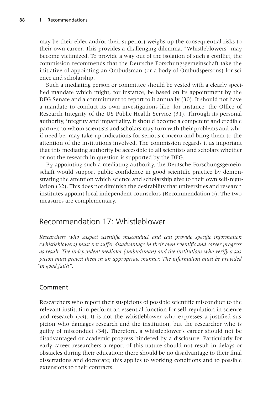may be their elder and/or their superior) weighs up the consequential risks to their own career. This provides a challenging dilemma. "Whistleblowers" may become victimized. To provide a way out of the isolation of such a conflict, the commission recommends that the Deutsche Forschungsgemeinschaft take the initiative of appointing an Ombudsman (or a body of Ombudspersons) for science and scholarship.

Such a mediating person or committee should be vested with a clearly specified mandate which might, for instance, be based on its appointment by the DFG Senate and a commitment to report to it annually (30). It should not have a mandate to conduct its own investigations like, for instance, the Office of Research Integrity of the US Public Health Service (31). Through its personal authority, integrity and impartiality, it should become a competent and credible partner, to whom scientists and scholars may turn with their problems and who, if need be, may take up indications for serious concern and bring them to the attention of the institutions involved. The commission regards it as important that this mediating authority be accessible to all scientists and scholars whether or not the research in question is supported by the DFG.

By appointing such a mediating authority, the Deutsche Forschungsgemeinschaft would support public confidence in good scientific practice by demonstrating the attention which science and scholarship give to their own self-regulation (32). This does not diminish the desirability that universities and research institutes appoint local independent counselors (Recommendation 5). The two measures are complementary.

### Recommendation 17: Whistleblower

*Researchers who suspect scientific misconduct and can provide specific information (whistleblowers) must not suffer disadvantage in their own scientific and career progress as result. The independent mediator (ombudsman) and the institutions who verify a suspicion must protect them in an appropriate manner. The information must be provided "in good faith".*

#### Comment

Researchers who report their suspicions of possible scientific misconduct to the relevant institution perform an essential function for self-regulation in science and research (33). It is not the whistleblower who expresses a justified suspicion who damages research and the institution, but the researcher who is guilty of misconduct (34). Therefore, a whistleblower's career should not be disadvantaged or academic progress hindered by a disclosure. Particularly for early career researchers a report of this nature should not result in delays or obstacles during their education; there should be no disadvantage to their final dissertations and doctorate; this applies to working conditions and to possible extensions to their contracts.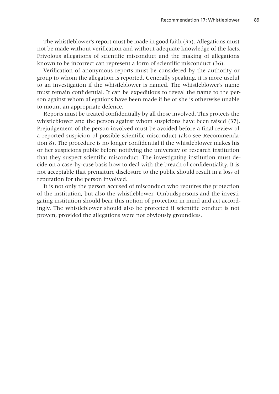The whistleblower's report must be made in good faith (35). Allegations must not be made without verification and without adequate knowledge of the facts. Frivolous allegations of scientific misconduct and the making of allegations known to be incorrect can represent a form of scientific misconduct (36).

Verification of anonymous reports must be considered by the authority or group to whom the allegation is reported. Generally speaking, it is more useful to an investigation if the whistleblower is named. The whistleblower's name must remain confidential. It can be expeditious to reveal the name to the person against whom allegations have been made if he or she is otherwise unable to mount an appropriate defence.

Reports must be treated confidentially by all those involved. This protects the whistleblower and the person against whom suspicions have been raised (37). Prejudgement of the person involved must be avoided before a final review of a reported suspicion of possible scientific misconduct (also see Recommendation 8). The procedure is no longer confidential if the whistleblower makes his or her suspicions public before notifying the university or research institution that they suspect scientific misconduct. The investigating institution must decide on a case-by-case basis how to deal with the breach of confidentiality. It is not acceptable that premature disclosure to the public should result in a loss of reputation for the person involved.

It is not only the person accused of misconduct who requires the protection of the institution, but also the whistleblower. Ombudspersons and the investigating institution should bear this notion of protection in mind and act accordingly. The whistleblower should also be protected if scientific conduct is not proven, provided the allegations were not obviously groundless.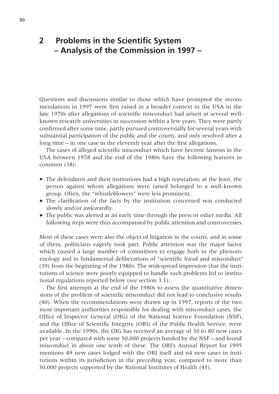# **2 Problems in the Scientific System – Analysis of the Commission in 1997 –**

Questions and discussions similar to those which have prompted the recommendations in 1997 were first raised in a broader context in the USA in the late 1970s after allegations of scientific misconduct had arisen at several wellknown research universities in succession within a few years. They were partly confirmed after some time, partly pursued controversially for several years with substantial participation of the public and the courts, and only resolved after a long time – in one case in the eleventh year after the first allegations.

The cases of alleged scientific misconduct which have become famous in the USA between 1978 and the end of the 1980s have the following features in common (38):

- $\blacktriangleright$  The defendants and their institutions had a high reputation; at the least, the person against whom allegations were raised belonged to a well-known group. Often, the "whistleblowers" were less prominent.
- $\blacktriangleright$  The clarification of the facts by the institution concerned was conducted slowly and/or awkwardly.
- ► The public was alerted at an early time through the press or other media. All following steps were thus accompanied by public attention and controversies.

Most of these cases were also the object of litigation in the courts, and in some of them, politicians eagerly took part. Public attention was the major factor which caused a large number of committees to engage both in the phenomenology and in fundamental deliberations of "scientific fraud and misconduct" (39) from the beginning of the 1980s. The widespread impression that the institutions of science were poorly equipped to handle such problems led to institutional regulations reported below (see section 3.1).

The first attempts at the end of the 1980s to assess the quantitative dimensions of the problem of scientific misconduct did not lead to conclusive results (40). When the recommendations were drawn up in 1997, reports of the two most important authorities responsible for dealing with misconduct cases, the Office of Inspector General (OIG) of the National Science Foundation (NSF), and the Office of Scientific Integrity (ORI) of the Public Health Service, were available. In the 1990s, the OIG has received an average of 30 to 80 new cases per year – compared with some 50,000 projects funded by the NSF – and found misconduct in about one tenth of these. The ORI's Annual Report for 1995 mentions 49 new cases lodged with the ORI itself and 64 new cases in institutions within its jurisdiction in the preceding year, compared to more than 30,000 projects supported by the National Institutes of Health (41).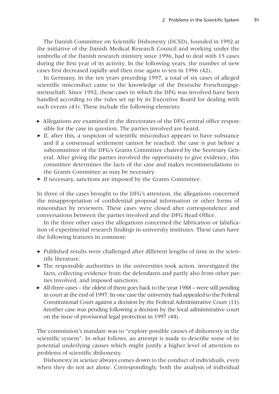The Danish Committee on Scientific Dishonesty (DCSD), founded in 1992 at the initiative of the Danish Medical Research Council and working under the umbrella of the Danish research ministry since 1996, had to deal with 15 cases during the first year of its activity. In the following years, the number of new cases first decreased rapidly and then rose again to ten in 1996 (42).

In Germany, in the ten years preceding 1997, a total of six cases of alleged scientific misconduct came to the knowledge of the Deutsche Forschungsgemeinschaft. Since 1992, those cases in which the DFG was involved have been handled according to the rules set up by its Executive Board for dealing with such events (43). These include the following elements:

- ► Allegations are examined in the directorates of the DFG central office responsible for the case in question. The parties involved are heard.
- $\blacktriangleright$  If, after this, a suspicion of scientific misconduct appears to have substance and if a consensual settlement cannot be reached, the case is put before a subcommittee of the DFG's Grants Committee chaired by the Secretary General. After giving the parties involved the opportunity to give evidence, this committee determines the facts of the case and makes recommendations to the Grants Committee as may be necessary.
- ► If necessary, sanctions are imposed by the Grants Committee.

In three of the cases brought to the DFG's attention, the allegations concerned the misappropriation of confidential proposal information or other forms of misconduct by reviewers. These cases were closed after correspondence and conversations between the parties involved and the DFG Head Office.

In the three other cases the allegations concerned the fabrication or falsification of experimental research findings in university institutes. These cases have the following features in common:

- $\blacktriangleright$  Published results were challenged after different lengths of time in the scientific literature.
- $\blacktriangleright$  The responsible authorities in the universities took action, investigated the facts, collecting evidence from the defendants and partly also from other parties involved, and imposed sanctions.
- $\blacktriangleright$  All three cases the oldest of them goes back to the year 1988 were still pending in court at the end of 1997. In one case the university had appealed to the Federal Constitutional Court against a decision by the Federal Administrative Court (11). Another case was pending following a decision by the local administrative court on the issue of provisional legal protection in 1997 (44).

The commission's mandate was to "explore possible causes of dishonesty in the scientific system". In what follows, an attempt is made to describe some of its potential underlying causes which might justify a higher level of attention to problems of scientific dishonesty.

Dishonesty in science always comes down to the conduct of individuals, even when they do not act alone. Correspondingly, both the analysis of individual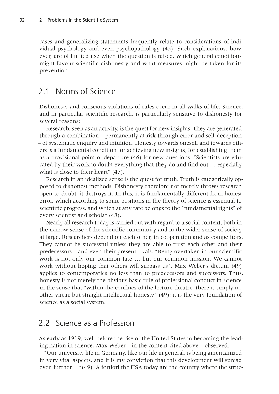cases and generalizing statements frequently relate to considerations of individual psychology and even psychopathology (45). Such explanations, however, are of limited use when the question is raised, which general conditions might favour scientific dishonesty and what measures might be taken for its prevention.

### 2.1 Norms of Science

Dishonesty and conscious violations of rules occur in all walks of life. Science, and in particular scientific research, is particularly sensitive to dishonesty for several reasons:

Research, seen as an activity, is the quest for new insights. They are generated through a combination – permanently at risk through error and self-deception – of systematic enquiry and intuition. Honesty towards oneself and towards others is a fundamental condition for achieving new insights, for establishing them as a provisional point of departure (46) for new questions. "Scientists are educated by their work to doubt everything that they do and find out … especially what is close to their heart" (47).

Research in an idealized sense is the quest for truth. Truth is categorically opposed to dishonest methods. Dishonesty therefore not merely throws research open to doubt; it destroys it. In this, it is fundamentally different from honest error, which according to some positions in the theory of science is essential to scientific progress, and which at any rate belongs to the "fundamental rights" of every scientist and scholar (48).

Nearly all research today is carried out with regard to a social context, both in the narrow sense of the scientific community and in the wider sense of society at large. Researchers depend on each other, in cooperation and as competitors. They cannot be successful unless they are able to trust each other and their predecessors – and even their present rivals. "Being overtaken in our scientific work is not only our common fate … but our common mission. We cannot work without hoping that others will surpass us". Max Weber's dictum (49) applies to contemporaries no less than to predecessors and successors. Thus, honesty is not merely the obvious basic rule of professional conduct in science in the sense that "within the confines of the lecture theatre, there is simply no other virtue but straight intellectual honesty" (49); it is the very foundation of science as a social system.

### 2.2 Science as a Profession

As early as 1919, well before the rise of the United States to becoming the leading nation in science, Max Weber – in the context cited above – observed:

"Our university life in Germany, like our life in general, is being americanized in very vital aspects, and it is my conviction that this development will spread even further …"(49). A fortiori the USA today are the country where the struc-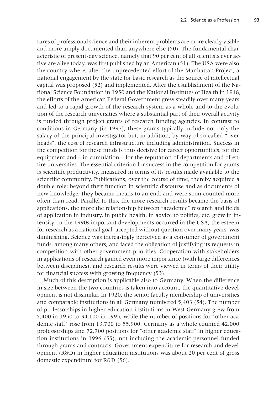tures of professional science and their inherent problems are more clearly visible and more amply documented than anywhere else (50). The fundamental characteristic of present-day science, namely that 90 per cent of all scientists ever active are alive today, was first published by an American (51). The USA were also the country where, after the unprecedented effort of the Manhattan Project, a national engagement by the state for basic research as the source of intellectual capital was proposed (52) and implemented. After the establishment of the National Science Foundation in 1950 and the National Institutes of Health in 1948, the efforts of the American Federal Government grew steadily over many years and led to a rapid growth of the research system as a whole and to the evolution of the research universities where a substantial part of their overall activity is funded through project grants of research funding agencies. In contrast to conditions in Germany (in 1997), these grants typically include not only the salary of the principal investigator but, in addition, by way of so-called "overheads", the cost of research infrastructure including administration. Success in the competition for these funds is thus decisive for career opportunities, for the equipment and – in cumulation – for the reputation of departments and of entire universities. The essential criterion for success in the competition for grants is scientific productivity, measured in terms of its results made available to the scientific community. Publications, over the course of time, thereby acquired a double role: beyond their function in scientific discourse and as documents of new knowledge, they became means to an end, and were soon counted more often than read. Parallel to this, the more research results became the basis of applications, the more the relationship between "academic" research and fields of application in industry, in public health, in advice to politics, etc. grew in intensity. In the 1990s important developments occurred in the USA, the esteem for research as a national goal, accepted without question over many years, was diminishing. Science was increasingly perceived as a consumer of government funds, among many others, and faced the obligation of justifying its requests in competition with other government priorities. Cooperation with stakeholders in applications of research gained even more importance (with large differences between disciplines), and research results were viewed in terms of their utility for financial success with growing frequency (53).

Much of this description is applicable also to Germany. When the difference in size between the two countries is taken into account, the quantitative development is not dissimilar. In 1920, the senior faculty membership of universities and comparable institutions in all Germany numbered 5,403 (54). The number of professorships in higher education institutions in West Germany grew from 5,400 in 1950 to 34,100 in 1995, while the number of positions for "other academic staff" rose from 13,700 to 55,900. Germany as a whole counted 42,000 professorships and 72,700 positions for "other academic staff" in higher education institutions in 1996 (55), not including the academic personnel funded through grants and contracts. Government expenditure for research and development (R&D) in higher education institutions was about 20 per cent of gross domestic expenditure for R&D (56).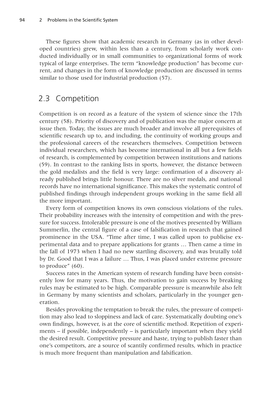These figures show that academic research in Germany (as in other developed countries) grew, within less than a century, from scholarly work conducted individually or in small communities to organizational forms of work typical of large enterprises. The term "knowledge production" has become current, and changes in the form of knowledge production are discussed in terms similar to those used for industrial production (57).

### 2.3 Competition

Competition is on record as a feature of the system of science since the 17th century (58). Priority of discovery and of publication was the major concern at issue then. Today, the issues are much broader and involve all prerequisites of scientific research up to, and including, the continuity of working groups and the professional careers of the researchers themselves. Competition between individual researchers, which has become international in all but a few fields of research, is complemented by competition between institutions and nations (59). In contrast to the ranking lists in sports, however, the distance between the gold medalists and the field is very large: confirmation of a discovery already published brings little honour. There are no silver medals, and national records have no international significance. This makes the systematic control of published findings through independent groups working in the same field all the more important.

Every form of competition knows its own conscious violations of the rules. Their probability increases with the intensity of competition and with the pressure for success. Intolerable pressure is one of the motives presented by William Summerlin, the central figure of a case of falsification in research that gained prominence in the USA. "Time after time, I was called upon to publicise experimental data and to prepare applications for grants … Then came a time in the fall of 1973 when I had no new startling discovery, and was brutally told by Dr. Good that I was a failure … Thus, I was placed under extreme pressure to produce" (60).

Success rates in the American system of research funding have been consistently low for many years. Thus, the motivation to gain success by breaking rules may be estimated to be high. Comparable pressure is meanwhile also felt in Germany by many scientists and scholars, particularly in the younger generation.

Besides provoking the temptation to break the rules, the pressure of competition may also lead to sloppiness and lack of care. Systematically doubting one's own findings, however, is at the core of scientific method. Repetition of experiments – if possible, independently – is particularly important when they yield the desired result. Competitive pressure and haste, trying to publish faster than one's competitors, are a source of scantily confirmed results, which in practice is much more frequent than manipulation and falsification.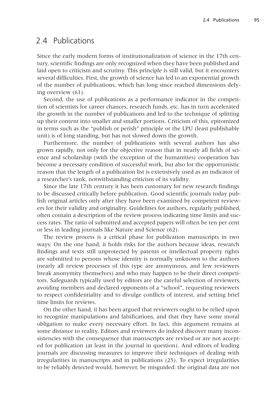### 2.4 Publications

Since the early modern forms of institutionalization of science in the 17th century, scientific findings are only recognized when they have been published and laid open to criticism and scrutiny. This principle is still valid, but it encounters several difficulties. First, the growth of science has led to an exponential growth of the number of publications, which has long since reached dimensions defying overview (61).

Second, the use of publications as a performance indicator in the competition of scientists for career chances, research funds, etc. has in turn accelerated the growth in the number of publications and led to the technique of splitting up their content into smaller and smaller portions. Criticism of this, epitomized in terms such as the "publish or perish" principle or the LPU (least publishable unit) is of long standing, but has not slowed down the growth.

Furthermore, the number of publications with several authors has also grown rapidly, not only for the objective reason that in nearly all fields of science and scholarship (with the exception of the humanities) cooperation has become a necessary condition of successful work, but also for the opportunistic reason that the length of a publication list is extensively used as an indicator of a researcher's rank, notwithstanding criticism of its validity.

Since the late 17th century it has been customary for new research findings to be discussed critically before publication. Good scientific journals today publish original articles only after they have been examined by competent reviewers for their validity and originality. Guidelines for authors, regularly published, often contain a description of the review process indicating time limits and success rates. The ratio of submitted and accepted papers will often be ten per cent or less in leading journals like Nature and Science (62).

The review process is a critical phase for publication manuscripts in two ways: On the one hand, it holds risks for the authors because ideas, research findings and texts still unprotected by patents or intellectual property rights are submitted to persons whose identity is normally unknown to the authors (nearly all review processes of this type are anonymous, and few reviewers break anonymity themselves) and who may happen to be their direct competitors. Safeguards typically used by editors are the careful selection of reviewers, avoiding members and declared opponents of a "school", requesting reviewers to respect confidentiality and to divulge conflicts of interest, and setting brief time limits for reviews.

On the other hand, it has been argued that reviewers ought to be relied upon to recognize manipulations and falsifications, and that they have some moral obligation to make every necessary effort. In fact, this argument remains at some distance to reality. Editors and reviewers do indeed discover many inconsistencies with the consequence that manuscripts are revised or are not accepted for publication (at least in the journal in question). And editors of leading journals are discussing measures to improve their techniques of dealing with irregularities in manuscripts and in publications (25). To expect irregularities to be reliably detected would, however, be misguided: the original data are not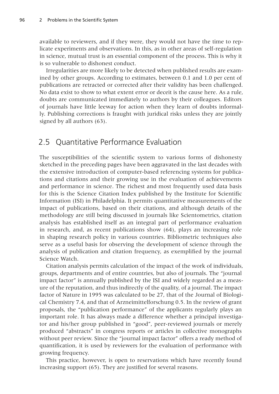available to reviewers, and if they were, they would not have the time to replicate experiments and observations. In this, as in other areas of self-regulation in science, mutual trust is an essential component of the process. This is why it is so vulnerable to dishonest conduct.

Irregularities are more likely to be detected when published results are examined by other groups. According to estimates, between 0.1 and 1.0 per cent of publications are retracted or corrected after their validity has been challenged. No data exist to show to what extent error or deceit is the cause here. As a rule, doubts are communicated immediately to authors by their colleagues. Editors of journals have little leeway for action when they learn of doubts informally. Publishing corrections is fraught with juridical risks unless they are jointly signed by all authors (63).

### 2.5 Quantitative Performance Evaluation

The susceptibilities of the scientific system to various forms of dishonesty sketched in the preceding pages have been aggravated in the last decades with the extensive introduction of computer-based referencing systems for publications and citations and their growing use in the evaluation of achievements and performance in science. The richest and most frequently used data basis for this is the Science Citation Index published by the Institute for Scientific Information (ISI) in Philadelphia. It permits quantitative measurements of the impact of publications, based on their citations, and although details of the methodology are still being discussed in journals like Scientometrics, citation analysis has established itself as an integral part of performance evaluation in research, and, as recent publications show (64), plays an increasing role in shaping research policy in various countries. Bibliometric techniques also serve as a useful basis for observing the development of science through the analysis of publication and citation frequency, as exemplified by the journal Science Watch.

Citation analysis permits calculation of the impact of the work of individuals, groups, departments and of entire countries, but also of journals. The "journal impact factor" is annually published by the ISI and widely regarded as a measure of the reputation, and thus indirectly of the quality, of a journal. The impact factor of Nature in 1995 was calculated to be 27, that of the Journal of Biological Chemistry 7.4, and that of Arzneimittelforschung 0.5. In the review of grant proposals, the "publication performance" of the applicants regularly plays an important role. It has always made a difference whether a principal investigator and his/her group published in "good", peer-reviewed journals or merely produced "abstracts" in congress reports or articles in collective monographs without peer review. Since the "journal impact factor" offers a ready method of quantification, it is used by reviewers for the evaluation of performance with growing frequency.

This practice, however, is open to reservations which have recently found increasing support (65). They are justified for several reasons.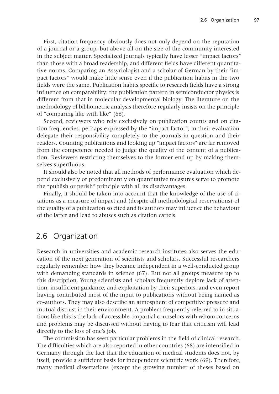First, citation frequency obviously does not only depend on the reputation of a journal or a group, but above all on the size of the community interested in the subject matter. Specialized journals typically have lesser "impact factors" than those with a broad readership, and different fields have different quantitative norms. Comparing an Assyriologist and a scholar of German by their "impact factors" would make little sense even if the publication habits in the two fields were the same. Publication habits specific to research fields have a strong influence on comparability: the publication pattern in semiconductor physics is different from that in molecular developmental biology. The literature on the methodology of bibliometric analysis therefore regularly insists on the principle of "comparing like with like" (66).

Second, reviewers who rely exclusively on publication counts and on citation frequencies, perhaps expressed by the "impact factor", in their evaluation delegate their responsibility completely to the journals in question and their readers. Counting publications and looking up "impact factors" are far removed from the competence needed to judge the quality of the content of a publication. Reviewers restricting themselves to the former end up by making themselves superfluous.

It should also be noted that all methods of performance evaluation which depend exclusively or predominantly on quantitative measures serve to promote the "publish or perish" principle with all its disadvantages.

Finally, it should be taken into account that the knowledge of the use of citations as a measure of impact and (despite all methodological reservations) of the quality of a publication so cited and its authors may influence the behaviour of the latter and lead to abuses such as citation cartels.

### 2.6 Organization

Research in universities and academic research institutes also serves the education of the next generation of scientists and scholars. Successful researchers regularly remember how they became independent in a well-conducted group with demanding standards in science (67). But not all groups measure up to this description. Young scientists and scholars frequently deplore lack of attention, insufficient guidance, and exploitation by their superiors, and even report having contributed most of the input to publications without being named as co-authors. They may also describe an atmosphere of competitive pressure and mutual distrust in their environment. A problem frequently referred to in situations like this is the lack of accessible, impartial counselors with whom concerns and problems may be discussed without having to fear that criticism will lead directly to the loss of one's job.

The commission has seen particular problems in the field of clinical research. The difficulties which are also reported in other countries (68) are intensified in Germany through the fact that the education of medical students does not, by itself, provide a sufficient basis for independent scientific work (69). Therefore, many medical dissertations (except the growing number of theses based on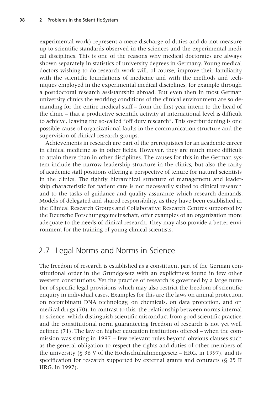experimental work) represent a mere discharge of duties and do not measure up to scientific standards observed in the sciences and the experimental medical disciplines. This is one of the reasons why medical doctorates are always shown separately in statistics of university degrees in Germany. Young medical doctors wishing to do research work will, of course, improve their familiarity with the scientific foundations of medicine and with the methods and techniques employed in the experimental medical disciplines, for example through a postdoctoral research assistantship abroad. But even then in most German university clinics the working conditions of the clinical environment are so demanding for the entire medical staff – from the first year intern to the head of the clinic – that a productive scientific activity at international level is difficult to achieve, leaving the so-called "off duty research". This overburdening is one possible cause of organizational faults in the communication structure and the supervision of clinical research groups.

Achievements in research are part of the prerequisites for an academic career in clinical medicine as in other fields. However, they are much more difficult to attain there than in other disciplines. The causes for this in the German system include the narrow leadership structure in the clinics, but also the rarity of academic staff positions offering a perspective of tenure for natural scientists in the clinics. The tightly hierarchical structure of management and leadership characteristic for patient care is not necessarily suited to clinical research and to the tasks of guidance and quality assurance which research demands. Models of delegated and shared responsibility, as they have been established in the Clinical Research Groups and Collaborative Research Centres supported by the Deutsche Forschungsgemeinschaft, offer examples of an organization more adequate to the needs of clinical research. They may also provide a better environment for the training of young clinical scientists.

### 2.7 Legal Norms and Norms in Science

The freedom of research is established as a constituent part of the German constitutional order in the Grundgesetz with an explicitness found in few other western constitutions. Yet the practice of research is governed by a large number of specific legal provisions which may also restrict the freedom of scientific enquiry in individual cases. Examples for this are the laws on animal protection, on recombinant DNA technology, on chemicals, on data protection, and on medical drugs (70). In contrast to this, the relationship between norms internal to science, which distinguish scientific misconduct from good scientific practice, and the constitutional norm guaranteeing freedom of research is not yet well defined (71). The law on higher education institutions offered – when the commission was sitting in 1997 – few relevant rules beyond obvious clauses such as the general obligation to respect the rights and duties of other members of the university (§ 36 V of the Hochschulrahmengesetz – HRG, in 1997), and its specification for research supported by external grants and contracts (§ 25 II HRG, in 1997).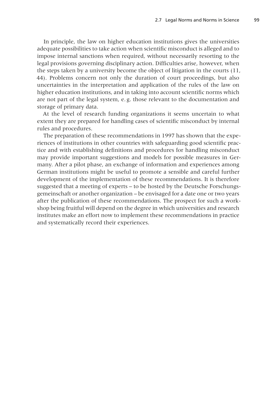In principle, the law on higher education institutions gives the universities adequate possibilities to take action when scientific misconduct is alleged and to impose internal sanctions when required, without necessarily resorting to the legal provisions governing disciplinary action. Difficulties arise, however, when the steps taken by a university become the object of litigation in the courts (11, 44). Problems concern not only the duration of court proceedings, but also uncertainties in the interpretation and application of the rules of the law on higher education institutions, and in taking into account scientific norms which are not part of the legal system, e.g. those relevant to the documentation and storage of primary data.

At the level of research funding organizations it seems uncertain to what extent they are prepared for handling cases of scientific misconduct by internal rules and procedures.

The preparation of these recommendations in 1997 has shown that the experiences of institutions in other countries with safeguarding good scientific practice and with establishing definitions and procedures for handling misconduct may provide important suggestions and models for possible measures in Germany. After a pilot phase, an exchange of information and experiences among German institutions might be useful to promote a sensible and careful further development of the implementation of these recommendations. It is therefore suggested that a meeting of experts – to be hosted by the Deutsche Forschungsgemeinschaft or another organization – be envisaged for a date one or two years after the publication of these recommendations. The prospect for such a workshop being fruitful will depend on the degree in which universities and research institutes make an effort now to implement these recommendations in practice and systematically record their experiences.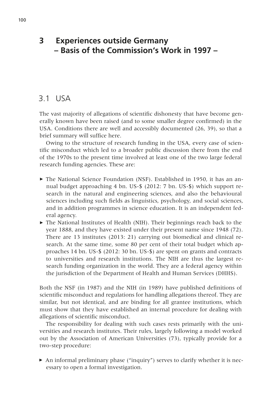# **3 Experiences outside Germany – Basis of the Commission's Work in 1997 –**

### 3.1 USA

The vast majority of allegations of scientific dishonesty that have become generally known have been raised (and to some smaller degree confirmed) in the USA. Conditions there are well and accessibly documented (26, 39), so that a brief summary will suffice here.

Owing to the structure of research funding in the USA, every case of scientific misconduct which led to a broader public discussion there from the end of the 1970s to the present time involved at least one of the two large federal research funding agencies. These are:

- ► The National Science Foundation (NSF). Established in 1950, it has an annual budget approaching 4 bn. US-\$ (2012: 7 bn. US-\$) which support research in the natural and engineering sciences, and also the behavioural sciences including such fields as linguistics, psychology, and social sciences, and in addition programmes in science education. It is an independent federal agency.
- $\blacktriangleright$  The National Institutes of Health (NIH). Their beginnings reach back to the year 1888, and they have existed under their present name since 1948 (72). There are 13 institutes (2013: 21) carrying out biomedical and clinical research. At the same time, some 80 per cent of their total budget which approaches 14 bn. US-\$ (2012: 30 bn. US-\$) are spent on grants and contracts to universities and research institutions. The NIH are thus the largest research funding organization in the world. They are a federal agency within the jurisdiction of the Department of Health and Human Services (DHHS).

Both the NSF (in 1987) and the NIH (in 1989) have published definitions of scientific misconduct and regulations for handling allegations thereof. They are similar, but not identical, and are binding for all grantee institutions, which must show that they have established an internal procedure for dealing with allegations of scientific misconduct.

The responsibility for dealing with such cases rests primarily with the universities and research institutes. Their rules, largely following a model worked out by the Association of American Universities (73), typically provide for a two-step procedure:

 $\triangleright$  An informal preliminary phase ("inquiry") serves to clarify whether it is necessary to open a formal investigation.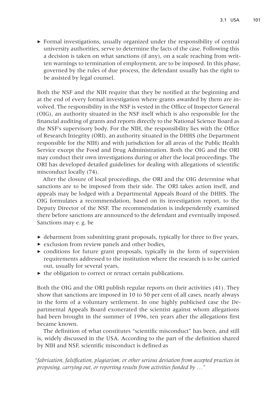$\blacktriangleright$  Formal investigations, usually organized under the responsibility of central university authorities, serve to determine the facts of the case. Following this a decision is taken on what sanctions (if any), on a scale reaching from written warnings to termination of employment, are to be imposed. In this phase, governed by the rules of due process, the defendant usually has the right to be assisted by legal counsel.

Both the NSF and the NIH require that they be notified at the beginning and at the end of every formal investigation where grants awarded by them are involved. The responsibility in the NSF is vested in the Office of Inspector General (OIG), an authority situated in the NSF itself which is also responsible for the financial auditing of grants and reports directly to the National Science Board as the NSF's supervisory body. For the NIH, the responsibility lies with the Office of Research Integrity (ORI), an authority situated in the DHHS (the Department responsible for the NIH) and with jurisdiction for all areas of the Public Health Service except the Food and Drug Administration. Both the OIG and the ORI may conduct their own investigations during or after the local proceedings. The ORI has developed detailed guidelines for dealing with allegations of scientific misconduct locally (74).

After the closure of local proceedings, the ORI and the OIG determine what sanctions are to be imposed from their side. The ORI takes action itself, and appeals may be lodged with a Departmental Appeals Board of the DHHS. The OIG formulates a recommendation, based on its investigation report, to the Deputy Director of the NSF. The recommendation is independently examined there before sanctions are announced to the defendant and eventually imposed. Sanctions may e.g. be

- $\blacktriangleright$  debarment from submitting grant proposals, typically for three to five years,
- $\triangleright$  exclusion from review panels and other bodies,
- $\triangleright$  conditions for future grant proposals, typically in the form of supervision requirements addressed to the institution where the research is to be carried out, usually for several years,
- $\blacktriangleright$  the obligation to correct or retract certain publications.

Both the OIG and the ORI publish regular reports on their activities (41). They show that sanctions are imposed in 10 to 50 per cent of all cases, nearly always in the form of a voluntary settlement. In one highly publicised case the Departmental Appeals Board exonerated the scientist against whom allegations had been brought in the summer of 1996, ten years after the allegations first became known.

The definition of what constitutes "scientific misconduct" has been, and still is, widely discussed in the USA. According to the part of the definition shared by NIH and NSF, scientific misconduct is defined as

*"fabrication, falsification, plagiarism, or other serious deviation from accepted practices in proposing, carrying out, or reporting results from activities funded by …"*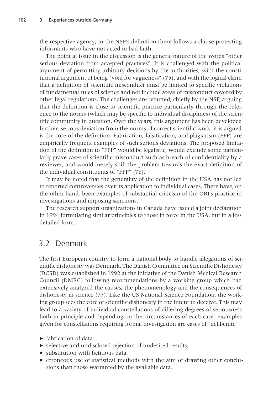the respective agency; in the NSF's definition there follows a clause protecting informants who have not acted in bad faith.

The point at issue in the discussion is the generic nature of the words "other serious deviation from accepted practices". It is challenged with the political argument of permitting arbitrary decisions by the authorities, with the constitutional argument of being "void for vagueness" (75), and with the logical claim that a definition of scientific misconduct must be limited to specific violations of fundamental rules of science and not include areas of misconduct covered by other legal regulations. The challenges are rebutted, chiefly by the NSF, arguing that the definition is close to scientific practice particularly through the reference to the norms (which may be specific to individual disciplines) of the scientific community in question. Over the years, this argument has been developed further: serious deviation from the norms of correct scientific work, it is argued, is the core of the definition. Fabrication, falsification, and plagiarism (FFP) are empirically frequent examples of such serious deviations. The proposed limitation of the definition to "FFP" would be legalistic, would exclude some particularly grave cases of scientific misconduct such as breach of confidentiality by a reviewer, and would merely shift the problem towards the exact definition of the individual constituents of "FFP" (76).

It may be noted that the generality of the definition in the USA has not led to reported controversies over its application to individual cases. There have, on the other hand, been examples of substantial criticism of the ORI's practice in investigations and imposing sanctions.

The research support organizations in Canada have issued a joint declaration in 1994 formulating similar principles to those in force in the USA, but in a less detailed form.

### 3.2 Denmark

The first European country to form a national body to handle allegations of scientific dishonesty was Denmark. The Danish Committee on Scientific Dishonesty (DCSD) was established in 1992 at the initiative of the Danish Medical Research Council (DMRC) following recommendations by a working group which had extensively analyzed the causes, the phenomenology and the consequences of dishonesty in science (77). Like the US National Science Foundation, the working group sees the core of scientific dishonesty in the intent to deceive. This may lead to a variety of individual constellations of differing degrees of seriousness both in principle and depending on the circumstances of each case. Examples given for constellations requiring formal investigation are cases of "deliberate

- $\blacktriangleright$  fabrication of data.
- $\blacktriangleright$  selective and undisclosed rejection of undesired results,
- $\blacktriangleright$  substitution with fictitious data.
- $\triangleright$  erroneous use of statistical methods with the aim of drawing other conclusions than those warranted by the available data,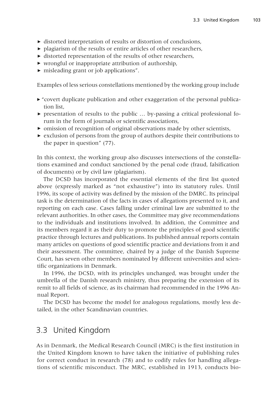- $\blacktriangleright$  distorted interpretation of results or distortion of conclusions,
- $\triangleright$  plagiarism of the results or entire articles of other researchers,
- $\triangleright$  distorted representation of the results of other researchers.
- $\triangleright$  wrongful or inappropriate attribution of authorship,
- $\blacktriangleright$  misleading grant or job applications".

Examples of less serious constellations mentioned by the working group include

- $\triangleright$  "covert duplicate publication and other exaggeration of the personal publication list,
- $\blacktriangleright$  presentation of results to the public ... by-passing a critical professional forum in the form of journals or scientific associations,
- $\triangleright$  omission of recognition of original observations made by other scientists,
- $\triangleright$  exclusion of persons from the group of authors despite their contributions to the paper in question" (77).

In this context, the working group also discusses intersections of the constellations examined and conduct sanctioned by the penal code (fraud, falsification of documents) or by civil law (plagiarism).

The DCSD has incorporated the essential elements of the first list quoted above (expressly marked as "not exhaustive") into its statutory rules. Until 1996, its scope of activity was defined by the mission of the DMRC. Its principal task is the determination of the facts in cases of allegations presented to it, and reporting on each case. Cases falling under criminal law are submitted to the relevant authorities. In other cases, the Committee may give recommendations to the individuals and institutions involved. In addition, the Committee and its members regard it as their duty to promote the principles of good scientific practice through lectures and publications. Its published annual reports contain many articles on questions of good scientific practice and deviations from it and their assessment. The committee, chaired by a judge of the Danish Supreme Court, has seven other members nominated by different universities and scientific organizations in Denmark.

In 1996, the DCSD, with its principles unchanged, was brought under the umbrella of the Danish research ministry, thus preparing the extension of its remit to all fields of science, as its chairman had recommended in the 1996 Annual Report.

The DCSD has become the model for analogous regulations, mostly less detailed, in the other Scandinavian countries.

### 3.3 United Kingdom

As in Denmark, the Medical Research Council (MRC) is the first institution in the United Kingdom known to have taken the initiative of publishing rules for correct conduct in research (78) and to codify rules for handling allegations of scientific misconduct. The MRC, established in 1913, conducts bio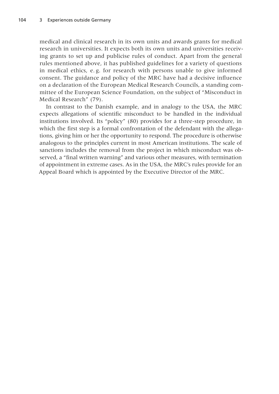medical and clinical research in its own units and awards grants for medical research in universities. It expects both its own units and universities receiving grants to set up and publicise rules of conduct. Apart from the general rules mentioned above, it has published guidelines for a variety of questions in medical ethics, e.g. for research with persons unable to give informed consent. The guidance and policy of the MRC have had a decisive influence on a declaration of the European Medical Research Councils, a standing committee of the European Science Foundation, on the subject of "Misconduct in Medical Research" (79).

In contrast to the Danish example, and in analogy to the USA, the MRC expects allegations of scientific misconduct to be handled in the individual institutions involved. Its "policy" (80) provides for a three-step procedure, in which the first step is a formal confrontation of the defendant with the allegations, giving him or her the opportunity to respond. The procedure is otherwise analogous to the principles current in most American institutions. The scale of sanctions includes the removal from the project in which misconduct was observed, a "final written warning" and various other measures, with termination of appointment in extreme cases. As in the USA, the MRC's rules provide for an Appeal Board which is appointed by the Executive Director of the MRC.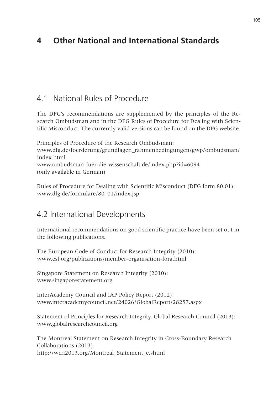# **4 Other National and International Standards**

# 4.1 National Rules of Procedure

The DFG's recommendations are supplemented by the principles of the Research Ombudsman and in the DFG Rules of Procedure for Dealing with Scientific Misconduct. The currently valid versions can be found on the DFG website.

Principles of Procedure of the Research Ombudsman: www.dfg.de/foerderung/grundlagen\_rahmenbedingungen/gwp/ombudsman/ index.html www.ombudsman-fuer-die-wissenschaft.de/index.php?id=6094 (only available in German)

Rules of Procedure for Dealing with Scientific Misconduct (DFG form 80.01): www.dfg.de/formulare/80\_01/index.jsp

### 4.2 International Developments

International recommendations on good scientific practice have been set out in the following publications.

The European Code of Conduct for Research Integrity (2010): www.esf.org/publications/member-organisation-fora.html

Singapore Statement on Research Integrity (2010): www.singaporestatement.org

InterAcademy Council and IAP Policy Report (2012): www.interacademycouncil.net/24026/GlobalReport/28257.aspx

Statement of Principles for Research Integrity, Global Research Council (2013): www.globalresearchcouncil.org

The Montreal Statement on Research Integrity in Cross-Boundary Research Collaborations (2013): http://wcri2013.org/Montreal\_Statement\_e.shtml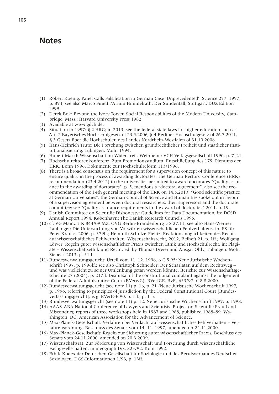### **Notes**

- (1) Robert Koenig: Panel Calls Falsification in German Case 'Unprecedented', Science 277, 1997, p. 894; see also Marco Finetti/Armin Himmelrath: Der Sündenfall, Stuttgart: DUZ Edition 1999.
- (2) Derek Bok: Beyond the Ivory Tower. Social Responsibilities of the Modern University, Cambridge, Mass.: Harvard University Press 1982.
- (3) Available at www.gdch.de.
- (4) Situation in 1997: § 2 HRG; in 2013: see the federal state laws for higher education such as Art. 2 Bayerisches Hochschulgesetz of 23.5.2006, § 4 Berliner Hochschulgesetz of 26.7.2011, § 3 Gesetz über die Hochschulen des Landes Nordrhein-Westfalen of 31.10.2006.
- (5) Hans-Heinrich Trute: Die Forschung zwischen grundrechtlicher Freiheit und staatlicher Institutionalisierung, Tübingen: Mohr 1994.
- (6) Hubert Markl: Wissenschaft im Widerstreit, Weinheim: VCH Verlagsgesellschaft 1990, p. 7–21.
- (7) Hochschulrektorenkonferenz: Zum Promotionsstudium. Entschließung des 179. Plenums der HRK, Bonn 1996. Dokumente zur Hochschulreform 113/1996.
- (8) There is a broad consensus on the requirement for a supervision concept of this nature to ensure quality in the process of awarding doctorates: The German Rectors' Conference (HRK) recommendation (23.4.2012) to the universities permitted to award doctorates "Quality assurance in the awarding of doctorates", p. 5, mentions a "doctoral agreement", also see the recommendation of the 14th general meeting of the HRK on 14.5.2013, "Good scientific practice at German Universities"; the German Council of Science and Humanities spoke out in favour of a supervision agreement between doctoral researchers, their supervisors and the doctorate committee; see "Quality assurance requirements in the award of doctorates" 2011, p. 19.
- (9) Danish Committee on Scientific Dishonesty: Guidelines for Data Documentation, in: DCSD Annual Report 1994, København: The Danish Research Councils 1995.
- (10) cf. VG Mainz 3 K 844/09.MZ; OVG Berlin-Brandenburg 5 S 27.11; see also Hans-Werner Laubinger: Die Untersuchung von Vorwürfen wissenschaftlichen Fehlverhaltens, in: FS für Peter Krause, 2006, p. 379ff.; Helmuth Schulze-Fielitz: Reaktionsmöglichkeiten des Rechts auf wissenschaftliches Fehlverhalten, Wissenschaftsrecht, 2012, Beiheft 21, p. 1ff.; Wolfgang Löwer: Regeln guter wissenschaftlicher Praxis zwischen Ethik und Hochschulrecht, in: Plagiate – Wissenschaftsethik und Recht, ed. by Thomas Dreier and Ansgar Ohly, Tübingen: Mohr Siebeck 2013, p. 51ff.
- (11) Bundesverwaltungsgericht: Urteil vom 11. 12. 1996, 6 C 5.95; Neue Juristische Wochenschrift 1997, p. 1996ff.; see also Christoph Schneider: Der Scharlatan auf dem Rechtsweg – und was vielleicht zu seiner Umlenkung getan werden könnte, Berichte zur Wissenschaftsgeschichte 27 (2004), p. 237ff. Dismissal of the constitutional complaint against the judgement of the Federal Administrative Court (BVerwG), BVerfGE, BvR, 653/97 of 8.8.2000.
- (12) Bundesverwaltungsgericht (see note 11) p. 16, p. 21 (Neue Juristische Wochenschrift 1997, p. 1996, referring to principles of jurisdiction by the Federal Constitutional Court [Bundesverfassungsgericht], e. g. BVerfGE 90, p. 1ff., p. 11).
- (13) Bundesverwaltungsgericht (see note 11) p. 12; Neue Juristische Wochenschrift 1997, p. 1998.
- (14) AAAS-ABA National Conference of Lawyers and Scientists. Project on Scientific Fraud and Misconduct; reports of three workshops held in 1987 and 1988, published 1988–89, Washington, DC: American Association for the Advancement of Science.
- (15) Max-Planck-Gesellschaft: Verfahren bei Verdacht auf wissenschaftliches Fehlverhalten Verfahrensordnung, Beschluss des Senats vom 14. 11. 1997, amended on 24.11.2000.
- (16) Max-Planck-Gesellschaft: Regeln zur Sicherung guter wissenschaftlicher Praxis, Beschluss des Senats vom 24.11.2000, amended on 20.3.2009.
- (17) Wissenschaftsrat: Zur Förderung von Wissenschaft und Forschung durch wissenschaftliche Fachgesellschaften, mimeograph Drs. 823/92, Köln 1992.
- (18) Ethik-Kodex der Deutschen Gesellschaft für Soziologie und des Berufsverbandes Deutscher Soziologen, DGS-Informationen 1/93, p. 13ff.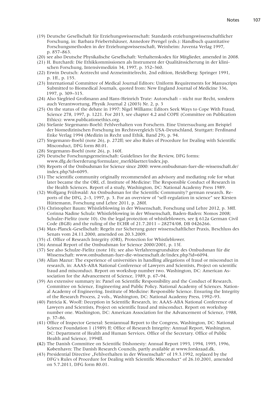- (19) Deutsche Gesellschaft für Erziehungswissenschaft: Standards erziehungswissenschaftlicher Forschung, in: Barbara Friebertshäuser, Annedore Prengel (eds.): Handbuch quantitative Forschungsmethoden in der Erziehungswissenschaft, Weinheim: Juventa Verlag 1997, p. 857–863.
- (20) see also Deutsche Physikalische Gesellschaft: Verhaltenskodex für Mitglieder, amended in 2008.
- (21) H. Burchardi: Die Ethikkommissionen als Instrument der Qualitätssicherung in der klinischen Forschung, Intensivmedizin 34, 1997, p. 352–360.
- (22) Erwin Deutsch: Arztrecht und Arzneimittelrecht, 2nd edition, Heidelberg: Springer 1991, p. 1ff., p. 155.
- (23) International Committee of Medical Journal Editors: Uniform Requirements for Manuscripts Submitted to Biomedical Journals, quoted from: New England Journal of Medicine 336, 1997, p. 309–315.
- (24) Also Siegfried Großmann and Hans-Heinrich Trute: Autorschaft nicht nur Recht, sondern auch Verantwortung, Physik Journal 2 (2003) Nr. 2, p. 3
- (25) On the status of the debate in 1997: Nigel Williams: Editors Seek Ways to Cope With Fraud, Science 278, 1997, p. 1221. For 2013, see chapter 4.2 and COPE (Committee on Publication Ethics): www.publicationethics.org.
- (26) Stefanie Stegemann-Boehl: Fehlverhalten von Forschern. Eine Untersuchung am Beispiel der biomedizinischen Forschung im Rechtsvergleich USA-Deutschland, Stuttgart: Ferdinand Enke Verlag 1994 (Medizin in Recht und Ethik, Band 29), p. 94.
- (27) Stegemann-Boehl (note 26), p. 272ff; see also Rules of Procedure for Dealing with Scientific Misconduct, DFG form 80.01.
- (28) Stegemann-Boehl (note 26), p. 160f.
- (29) Deutsche Forschungsgemeinschaft: Guidelines for the Review, DFG forms: www.dfg.de/foerderung/formulare\_merkblaetter/index.jsp.
- (30) Reports of the Ombudsman for Science since 2000: www.ombudsman-fuer-die-wissenschaft.de/ index.php?id=6095.
- (31) The scientific community originally recommended an advisory and mediating role for what later became the the ORI, cf. Institute of Medicine: The Responsible Conduct of Research in the Health Sciences. Report of a study, Washington, DC: National Academy Press 1989.
- (32) Wolfgang Frühwald: An Ombudsman for the Scientific Community? german research. Reports of the DFG, 2–3, 1997, p. 3. For an overview of "self-regulation in science" see Kirsten Hüttemann, Forschung und Lehre 2011, p. 280f.
- (33) Christopher Baum: Whistleblowing in der Wissenschaft, Forschung und Lehre 2012, p. 38ff. Corinna Nadine Schulz: Whistleblowing in der Wissenschaft, Baden-Baden: Nomos 2008; Schulze-Fielitz (note 10). On the legal protection of whistleblowers, see § 612a German Civil Code (BGB) and the ruling of the ECHR of 21.7.2011 – 28274/08, DB 0426266.
- (34) Max-Planck-Gesellschaft: Regeln zur Sicherung guter wissenschaftlicher Praxis, Beschluss des Senats vom 24.11.2000, amended on 20.3.2009.
- (35) cf. Office of Research Integrity (ORI), Protection for Whistleblower.
- (36) Annual Report of the Ombudsman for Science 2000/2001, p. 13f.
- (37) See also Schulze-Fielitz (note 10); see also Verfahrensgrundsätze des Ombudsman für die Wissenschaft: www.ombudsman-fuer-die-wissenschaft.de/index.php?id=6094.
- (38) Allan Mazur: The experience of universities in handling allegations of fraud or misconduct in research, in: AAAS-ABA National Conference of Lawyers and Scientists, Project on scientific fraud and misconduct. Report on workshop number two. Washington, DC: American Association for the Advancement of Science, 1989, p. 67–94.
- (39) An extensive summary in: Panel on Scientific Responsibility and the Conduct of Research. Committee on Science, Engineering and Public Policy. National Academy of Sciences. National Academy of Engineering. Institute of Medicine: Responsible Science. Ensuring the Integrity of the Research Process, 2 vols., Washington, DC: National Academy Press, 1992–93.
- (40) Patricia K. Woolf: Deception in Scientific Research, in: AAAS-ABA National Conference of Lawyers and Scientists, Project on scientific fraud and misconduct. Report on workshop number one. Washington, DC: American Association for the Advancement of Science, 1988, p. 37–86.
- (41) Office of Inspector General: Semiannual Report to the Congress, Washington, DC: National Science Foundation 1 (1989) ff; Office of Research Integrity: Annual Report, Washington, DC: Department of Health and Human Services. Office of the Secretary. Office of Public Health and Science, 1994ff.
- (42) The Danish Committee on Scientific Dishonesty: Annual Report 1993, 1994, 1995, 1996, København: The Danish Research Councils, partly available at www.forskraad.dk.
- (43) Presidential Directive "Fehlverhalten in der Wissenschaft" of 19.3.1992, replaced by the DFG's Rules of Procedure for Dealing with Scientific Misconduct" of 26.10.2001, amended on 5.7.2011, DFG form 80.01.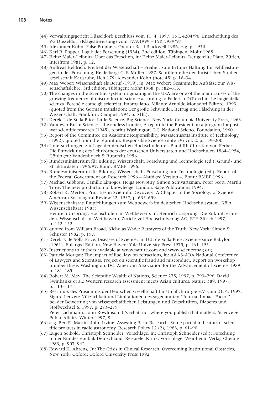#### 108 Notes

- (44) Verwaltungsgericht Düsseldorf: Beschluss vom 11. 4. 1997, 15 L 4204/96; Entscheidung des VG Düsseldorf (Klageabweisung) vom 17.9.1999 – 15K 5989/97.
- (45) Alexander Kohn: False Prophets, Oxford: Basil Blackwell 1986, e. g. p. 193ff.
- (46) Karl R. Popper: Logik der Forschung (1934), 2nd edition, Tübingen: Mohr 1968.
- (47) Heinz Maier-Leibnitz: Über das Forschen, in: Heinz Maier-Leibnitz: Der geteilte Plato, Zürich; Interfrom 1981, p. 12.
- (48) Andreas Heldrich: Freiheit der Wissenschaft Freiheit zum Irrtum? Haftung für Fehlleistungen in der Forschung, Heidelberg: C. F. Müller 1987. Schriftenreihe der Juristischen Studiengesellschaft Karlsruhe, Heft 179; Alexander Kohn (note 45) p. 18–34.
- (49) Max Weber: Wissenschaft als Beruf (1919), in: Max Weber: Gesammelte Aufsätze zur Wissenschaftslehre, 3rd edition, Tübingen: Mohr 1968, p. 582–613.
- (50) The changes in the scientific system originating in the USA are one of the main causes of the growing frequency of misconduct in science according to Federico DiTrocchio: Le bugie della scienza. Perchè e come gli scienziati imbrogliano, Milano: Arnoldo Monadori Editore, 1993 (quoted from the German translation: Der große Schwindel. Betrug und Fälschung in der Wissenschaft. Frankfurt: Campus 1994, p. 51ff.).
- (51) Derek J. de Solla Price: Little Science, Big Science, New York: Columbia University Press, 1963.
- (52) Vannevar Bush: Science the endless frontier, A report to the President on a program for postwar scientific research (1945), reprint Washington, DC: National Science Foundation, 1960.
- (53) Report of the Committee on Academic Responsibility. Massachusetts Institute of Technology (1992), quoted from the reprint in: Responsible Science (note 39) vol. 2, p. 159–200.
- (54) Untersuchungen zur Lage der deutschen Hochschullehrer, Band III: Christian von Ferber: Die Entwicklung des Lehrkörpers der deutschen Universitäten und Hochschulen 1864–1954, Göttingen: Vandenhoeck & Ruprecht 1956.
- (55) Bundesministerium für Bildung, Wissenschaft, Forschung und Technologie (ed.): Grund- und Strukturdaten 1996/97, Bonn: BMBF 1996.
- (56) Bundesministerium für Bildung, Wissenschaft, Forschung und Technologie (ed.): Report of the Federal Government on Research 1996 – Abridged Version –, Bonn: BMBF 1996.
- (57) Michael Gibbons, Camille Limoges, Helga Nowotny, Simon Schwartzman, Peter Scott, Martin Trow: The new production of knowledge, London: Sage Publications 1994.
- (58) Robert K. Merton: Priorities in Scientific Discovery: A Chapter in the Sociology of Science, American Sociological Review 22, 1957, p. 635–659.
- (59) Wissenschaftsrat: Empfehlungen zum Wettbewerb im deutschen Hochschulsystem, Köln: Wissenschaftsrat 1985; Heinrich Ursprung: Hochschulen im Wettbewerb, in: Heinrich Ursprung: Die Zukunft erfinden. Wissenschaft im Wettbewerb, Zürich: vdf Hochschulverlag AG, ETH Zürich 1997, p. 142–152.
- (60) quoted from William Broad, Nicholas Wade: Betrayers of the Truth, New York: Simon & Schuster 1982, p. 157.
- (61) Derek J. de Solla Price: Diseases of Science, in: D.J. de Solla Price: Science since Babylon (1961). Enlarged Edition, New Haven: Yale University Press 1975, p. 161–195.
- (62) Instructions to authors available at www.nature.com and www.sciencemag.org.
- (63) Patricia Morgan: The impact of libel law on retractions, in: AAAS-ABA National Conference of Lawyers and Scientists. Project on scientific fraud and misconduct. Report on workshop number three, Washington, DC: American Association for the Advancement of Science 1989, p. 181–185.
- (64) Robert M. May: The Scientific Wealth of Nations, Science 275, 1997, p. 793–796; David Swinbanks et al.: Western research assessment meets Asian cultures, Nature 389, 1997, p. 113–117.
- (65) Beschluss des Präsidiums der Deutschen Gesellschaft für Unfallchirurgie e.V. vom 21. 6. 1997; Sigurd Lenzen: Nützlichkeit und Limitationen des sogenannten "Journal Impact Factor" bei der Bewertung von wissenschaftlichen Leistungen und Zeitschriften, Diabetes und Stoffwechsel 6, 1997, p. 273–275;

Peter Lachmann, John Rowlinson: It's what, not where you publish that matters, Science & Public Affairs, Winter 1997, 8.

- (66) e. g. Ben R. Martin, John Irvine: Assessing Basic Research. Some partial indicators of scientific progress in radio astronomy, Research Policy 12 (2), 1983, p. 61–90.
- (67) Eugen Seibold, Christoph Schneider: Vorschläge, in: Christoph Schneider (ed.): Forschung in der Bundesrepublik Deutschland, Beispiele, Kritik, Vorschläge, Weinheim: Verlag Chemie 1983, p. 907–942.
- (68) Edward H. Ahrens, Jr.: The Crisis in Clinical Research. Overcoming Institutional Obstacles, New York, Oxford: Oxford University Press 1992.